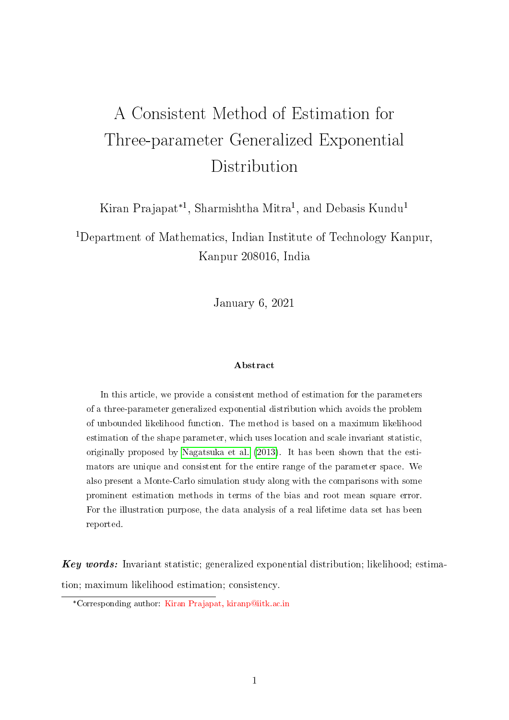# A Consistent Method of Estimation for Three-parameter Generalized Exponential Distribution

Kiran Prajapat<sup>\*1</sup>, Sharmishtha Mitra<sup>1</sup>, and Debasis Kundu<sup>1</sup>

<sup>1</sup>Department of Mathematics, Indian Institute of Technology Kanpur, Kanpur 208016, India

January 6, 2021

#### Abstract

In this article, we provide a consistent method of estimation for the parameters of a three-parameter generalized exponential distribution which avoids the problem of unbounded likelihood function. The method is based on a maximum likelihood estimation of the shape parameter, which uses location and scale invariant statistic, originally proposed by [Nagatsuka et al.](#page-21-0) [\(2013\)](#page-21-0). It has been shown that the estimators are unique and consistent for the entire range of the parameter space. We also present a Monte-Carlo simulation study along with the comparisons with some prominent estimation methods in terms of the bias and root mean square error. For the illustration purpose, the data analysis of a real lifetime data set has been reported.

Key words: Invariant statistic; generalized exponential distribution; likelihood; estimation; maximum likelihood estimation; consistency.

<sup>\*</sup>Corresponding author: Kiran Prajapat, kiranp@iitk.ac.in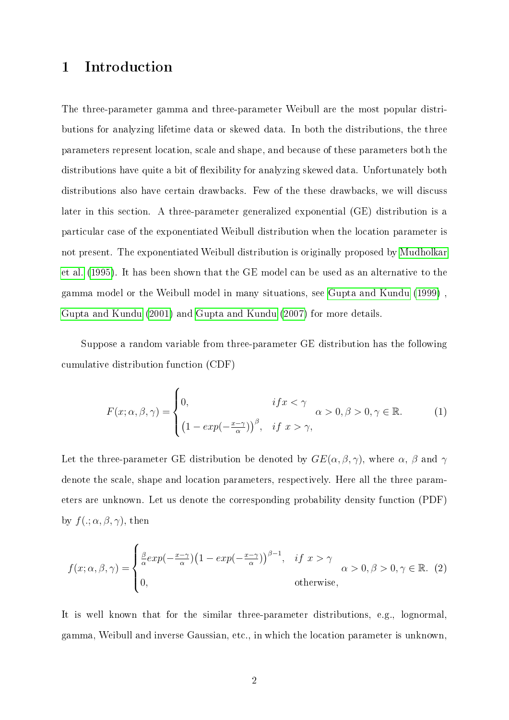# 1 Introduction

The three-parameter gamma and three-parameter Weibull are the most popular distributions for analyzing lifetime data or skewed data. In both the distributions, the three parameters represent location, scale and shape, and because of these parameters both the distributions have quite a bit of flexibility for analyzing skewed data. Unfortunately both distributions also have certain drawbacks. Few of the these drawbacks, we will discuss later in this section. A three-parameter generalized exponential (GE) distribution is a particular case of the exponentiated Weibull distribution when the location parameter is not present. The exponentiated Weibull distribution is originally proposed by [Mudholkar](#page-21-1) [et al.](#page-21-1) [\(1995\)](#page-21-1). It has been shown that the GE model can be used as an alternative to the gamma model or the Weibull model in many situations, see [Gupta and Kundu](#page-20-0) [\(1999\)](#page-20-0) , [Gupta and Kundu](#page-20-1) [\(2001\)](#page-20-1) and [Gupta and Kundu](#page-20-2) [\(2007\)](#page-20-2) for more details.

Suppose a random variable from three-parameter GE distribution has the following cumulative distribution function (CDF)

<span id="page-1-0"></span>
$$
F(x; \alpha, \beta, \gamma) = \begin{cases} 0, & if x < \gamma \\ \left(1 - exp(-\frac{x - \gamma}{\alpha})\right)^{\beta}, & if x > \gamma, \end{cases} \alpha > 0, \beta > 0, \gamma \in \mathbb{R}.
$$
 (1)

Let the three-parameter GE distribution be denoted by  $GE(\alpha, \beta, \gamma)$ , where  $\alpha$ ,  $\beta$  and  $\gamma$ denote the scale, shape and location parameters, respectively. Here all the three parameters are unknown. Let us denote the corresponding probability density function (PDF) by  $f(.; \alpha, \beta, \gamma)$ , then

<span id="page-1-1"></span>
$$
f(x; \alpha, \beta, \gamma) = \begin{cases} \frac{\beta}{\alpha} exp(-\frac{x-\gamma}{\alpha})(1 - exp(-\frac{x-\gamma}{\alpha}))^{\beta - 1}, & \text{if } x > \gamma \\ 0, & \text{otherwise,} \end{cases} \alpha > 0, \beta > 0, \gamma \in \mathbb{R}. (2)
$$

It is well known that for the similar three-parameter distributions, e.g., lognormal, gamma, Weibull and inverse Gaussian, etc., in which the location parameter is unknown,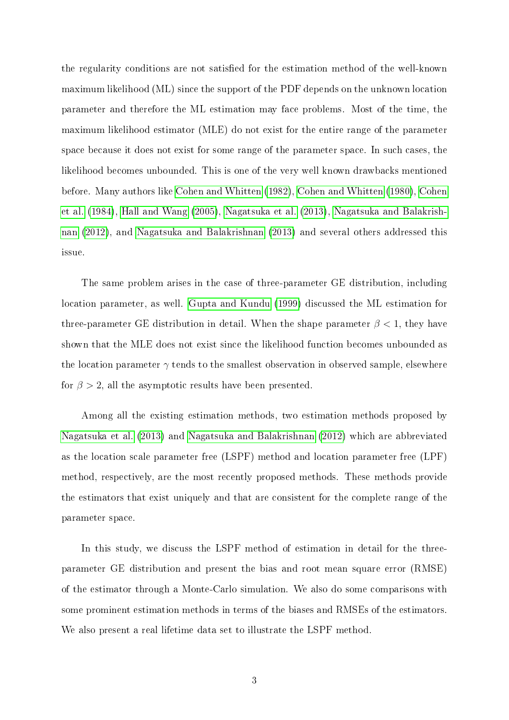the regularity conditions are not satisfied for the estimation method of the well-known maximum likelihood (ML) since the support of the PDF depends on the unknown location parameter and therefore the ML estimation may face problems. Most of the time, the maximum likelihood estimator (MLE) do not exist for the entire range of the parameter space because it does not exist for some range of the parameter space. In such cases, the likelihood becomes unbounded. This is one of the very well known drawbacks mentioned before. Many authors like [Cohen and Whitten](#page-20-3) [\(1982\)](#page-20-3), [Cohen and Whitten](#page-19-0) [\(1980\)](#page-19-0), [Cohen](#page-20-4) [et al.](#page-20-4) [\(1984\)](#page-20-4), [Hall and Wang](#page-20-5) [\(2005\)](#page-20-5), [Nagatsuka et al.](#page-21-0) [\(2013\)](#page-21-0), [Nagatsuka and Balakrish](#page-21-2)[nan](#page-21-2) [\(2012\)](#page-21-2), and [Nagatsuka and Balakrishnan](#page-21-3) [\(2013\)](#page-21-3) and several others addressed this issue.

The same problem arises in the case of three-parameter GE distribution, including location parameter, as well. [Gupta and Kundu](#page-20-0) [\(1999\)](#page-20-0) discussed the ML estimation for three-parameter GE distribution in detail. When the shape parameter  $\beta < 1$ , they have shown that the MLE does not exist since the likelihood function becomes unbounded as the location parameter  $\gamma$  tends to the smallest observation in observed sample, elsewhere for  $\beta > 2$ , all the asymptotic results have been presented.

Among all the existing estimation methods, two estimation methods proposed by [Nagatsuka et al.](#page-21-0) [\(2013\)](#page-21-0) and [Nagatsuka and Balakrishnan](#page-21-2) [\(2012\)](#page-21-2) which are abbreviated as the location scale parameter free (LSPF) method and location parameter free (LPF) method, respectively, are the most recently proposed methods. These methods provide the estimators that exist uniquely and that are consistent for the complete range of the parameter space.

In this study, we discuss the LSPF method of estimation in detail for the threeparameter GE distribution and present the bias and root mean square error (RMSE) of the estimator through a Monte-Carlo simulation. We also do some comparisons with some prominent estimation methods in terms of the biases and RMSEs of the estimators. We also present a real lifetime data set to illustrate the LSPF method.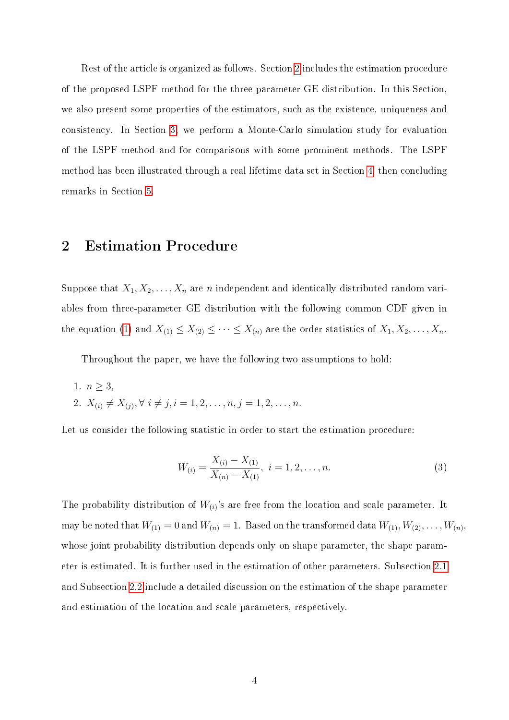Rest of the article is organized as follows. Section [2](#page-3-0) includes the estimation procedure of the proposed LSPF method for the three-parameter GE distribution. In this Section, we also present some properties of the estimators, such as the existence, uniqueness and consistency. In Section [3,](#page-9-0) we perform a Monte-Carlo simulation study for evaluation of the LSPF method and for comparisons with some prominent methods. The LSPF method has been illustrated through a real lifetime data set in Section [4,](#page-16-0) then concluding remarks in Section [5.](#page-18-0)

### <span id="page-3-0"></span>2 Estimation Procedure

Suppose that  $X_1, X_2, \ldots, X_n$  are *n* independent and identically distributed random variables from three-parameter GE distribution with the following common CDF given in the equation [\(1\)](#page-1-0) and  $X_{(1)} \leq X_{(2)} \leq \cdots \leq X_{(n)}$  are the order statistics of  $X_1, X_2, \ldots, X_n$ .

Throughout the paper, we have the following two assumptions to hold:

1.  $n \geq 3$ 2.  $X_{(i)} \neq X_{(j)}, \forall i \neq j, i = 1, 2, \ldots, n, j = 1, 2, \ldots, n.$ 

Let us consider the following statistic in order to start the estimation procedure:

<span id="page-3-1"></span>
$$
W_{(i)} = \frac{X_{(i)} - X_{(1)}}{X_{(n)} - X_{(1)}}, \ i = 1, 2, \dots, n.
$$
\n(3)

The probability distribution of  $W_{(i)}$ 's are free from the location and scale parameter. It may be noted that  $W_{(1)} = 0$  and  $W_{(n)} = 1$ . Based on the transformed data  $W_{(1)}, W_{(2)}, \ldots, W_{(n)}$ , whose joint probability distribution depends only on shape parameter, the shape parameter is estimated. It is further used in the estimation of other parameters. Subsection [2.1](#page-4-0) and Subsection [2.2](#page-6-0) include a detailed discussion on the estimation of the shape parameter and estimation of the location and scale parameters, respectively.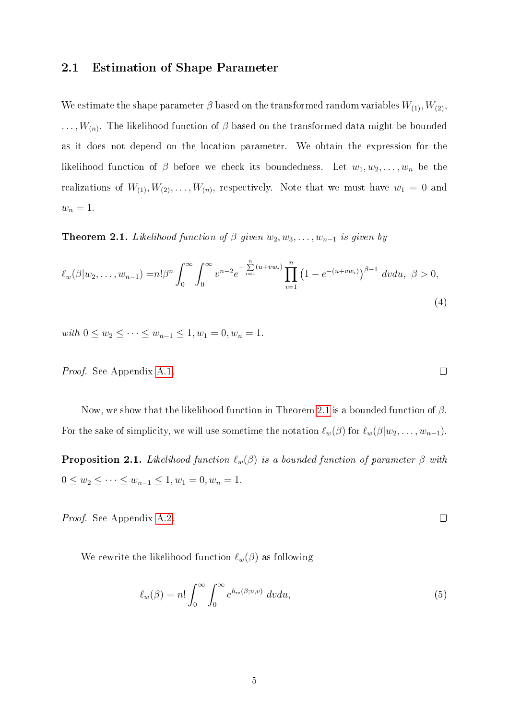#### <span id="page-4-0"></span>2.1 Estimation of Shape Parameter

We estimate the shape parameter  $\beta$  based on the transformed random variables  $W_{(1)}, W_{(2)},$  $\dots, W_{(n)}$ . The likelihood function of  $\beta$  based on the transformed data might be bounded as it does not depend on the location parameter. We obtain the expression for the likelihood function of  $\beta$  before we check its boundedness. Let  $w_1, w_2, \ldots, w_n$  be the realizations of  $W_{(1)}, W_{(2)}, \ldots, W_{(n)}$ , respectively. Note that we must have  $w_1 = 0$  and  $w_n=1.$ 

<span id="page-4-1"></span>**Theorem 2.1.** Likelihood function of  $\beta$  given  $w_2, w_3, \ldots, w_{n-1}$  is given by

$$
\ell_w(\beta|w_2,\ldots,w_{n-1}) = n!\beta^n \int_0^\infty \int_0^\infty v^{n-2} e^{-\sum_{i=1}^n (u+vw_i)} \prod_{i=1}^n (1 - e^{-(u+vw_i)})^{\beta-1} dv du, \ \beta > 0,
$$
\n(4)

with  $0 \le w_2 \le \cdots \le w_{n-1} \le 1, w_1 = 0, w_n = 1.$ 

Proof. See Appendix [A.1.](#page-22-0)

Now, we show that the likelihood function in Theorem [2.1](#page-4-1) is a bounded function of  $\beta$ . For the sake of simplicity, we will use sometime the notation  $\ell_w(\beta)$  for  $\ell_w(\beta|w_2, \ldots, w_{n-1})$ .

<span id="page-4-3"></span>**Proposition 2.1.** Likelihood function  $\ell_w(\beta)$  is a bounded function of parameter  $\beta$  with  $0 \le w_2 \le \cdots \le w_{n-1} \le 1, w_1 = 0, w_n = 1.$ 

Proof. See Appendix [A.2.](#page-23-0)

We rewrite the likelihood function  $\ell_w(\beta)$  as following

$$
\ell_w(\beta) = n! \int_0^\infty \int_0^\infty e^{h_w(\beta;u,v)} dv du,
$$
\n(5)

<span id="page-4-4"></span> $\Box$ 

<span id="page-4-2"></span> $\Box$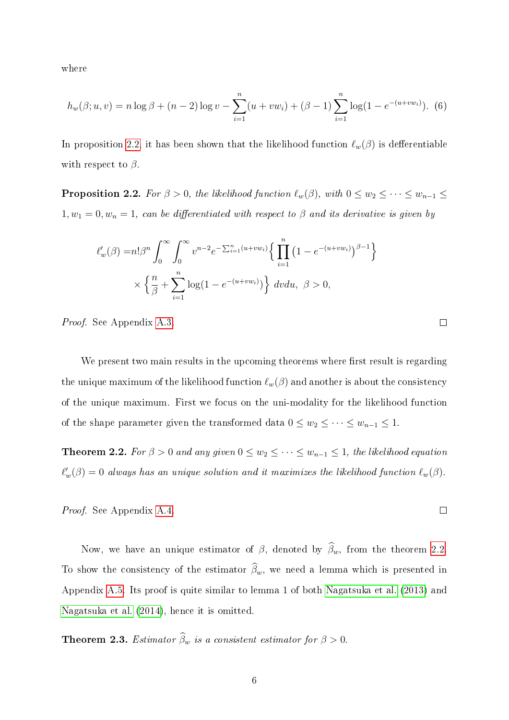where

$$
h_w(\beta; u, v) = n \log \beta + (n - 2) \log v - \sum_{i=1}^n (u + vw_i) + (\beta - 1) \sum_{i=1}^n \log(1 - e^{-(u + vw_i)}).
$$
 (6)

In proposition [2.2,](#page-5-0) it has been shown that the likelihood function  $\ell_w(\beta)$  is defferentiable with respect to  $\beta$ .

<span id="page-5-0"></span>**Proposition 2.2.** For  $\beta > 0$ , the likelihood function  $\ell_w(\beta)$ , with  $0 \leq w_2 \leq \cdots \leq w_{n-1} \leq$  $1, w_1 = 0, w_n = 1$ , can be differentiated with respect to  $\beta$  and its derivative is given by

$$
\ell'_w(\beta) = n! \beta^n \int_0^\infty \int_0^\infty v^{n-2} e^{-\sum_{i=1}^n (u + vw_i)} \left\{ \prod_{i=1}^n (1 - e^{-(u + vw_i)})^{\beta - 1} \right\}
$$

$$
\times \left\{ \frac{n}{\beta} + \sum_{i=1}^n \log(1 - e^{-(u + vw_i)}) \right\} dv du, \ \beta > 0,
$$

Proof. See Appendix [A.3.](#page-23-1)

We present two main results in the upcoming theorems where first result is regarding the unique maximum of the likelihood function  $\ell_w(\beta)$  and another is about the consistency of the unique maximum. First we focus on the uni-modality for the likelihood function of the shape parameter given the transformed data  $0 \leq w_2 \leq \cdots \leq w_{n-1} \leq 1$ .

<span id="page-5-1"></span>**Theorem 2.2.** For  $\beta > 0$  and any given  $0 \leq w_2 \leq \cdots \leq w_{n-1} \leq 1$ , the likelihood equation  $\ell_w'(\beta) = 0$  always has an unique solution and it maximizes the likelihood function  $\ell_w(\beta)$ .

Proof. See Appendix [A.4.](#page-25-0)

Now, we have an unique estimator of  $\beta$ , denoted by  $\widehat{\beta}_w$ , from the theorem [2.2.](#page-5-1) To show the consistency of the estimator  $\widehat{\beta}_w$ , we need a lemma which is presented in Appendix [A.5.](#page-25-1) Its proof is quite similar to lemma 1 of both [Nagatsuka et al.](#page-21-0) [\(2013\)](#page-21-0) and [Nagatsuka et al.](#page-21-4) [\(2014\)](#page-21-4), hence it is omitted.

**Theorem 2.3.** Estimator  $\widehat{\beta}_w$  is a consistent estimator for  $\beta > 0$ .

 $\Box$ 

 $\Box$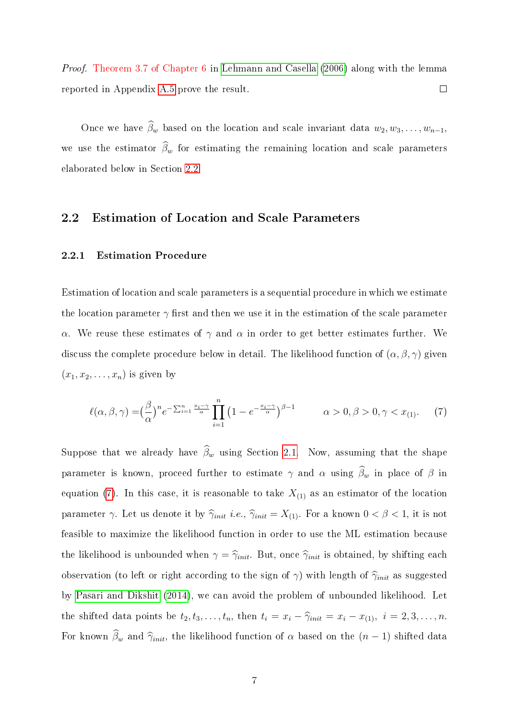Proof. Theorem 3.7 of Chapter 6 in [Lehmann and Casella](#page-20-6) [\(2006\)](#page-20-6) along with the lemma reported in Appendix [A.5](#page-25-1) prove the result.  $\Box$ 

Once we have  $\widehat{\beta}_w$  based on the location and scale invariant data  $w_2, w_3, \ldots, w_{n-1}$ , we use the estimator  $\widehat{\beta}_w$  for estimating the remaining location and scale parameters elaborated below in Section [2.2.](#page-6-0)

### <span id="page-6-0"></span>2.2 Estimation of Location and Scale Parameters

#### 2.2.1 Estimation Procedure

Estimation of location and scale parameters is a sequential procedure in which we estimate the location parameter  $\gamma$  first and then we use it in the estimation of the scale parameter α. We reuse these estimates of  $\gamma$  and  $\alpha$  in order to get better estimates further. We discuss the complete procedure below in detail. The likelihood function of  $(\alpha, \beta, \gamma)$  given  $(x_1, x_2, \ldots, x_n)$  is given by

<span id="page-6-1"></span>
$$
\ell(\alpha,\beta,\gamma) = \left(\frac{\beta}{\alpha}\right)^n e^{-\sum_{i=1}^n \frac{x_i-\gamma}{\alpha}} \prod_{i=1}^n \left(1 - e^{-\frac{x_i-\gamma}{\alpha}}\right)^{\beta-1} \qquad \alpha > 0, \beta > 0, \gamma < x_{(1)}.
$$
 (7)

Suppose that we already have  $\widehat{\beta}_w$  using Section [2.1.](#page-4-0) Now, assuming that the shape parameter is known, proceed further to estimate  $\gamma$  and  $\alpha$  using  $\widehat{\beta}_w$  in place of  $\beta$  in equation [\(7\)](#page-6-1). In this case, it is reasonable to take  $X_{(1)}$  as an estimator of the location parameter  $\gamma$ . Let us denote it by  $\hat{\gamma}_{init}$  i.e.,  $\hat{\gamma}_{init} = X_{(1)}$ . For a known  $0 < \beta < 1$ , it is not feasible to maximize the likelihood function in order to use the ML estimation because the likelihood is unbounded when  $\gamma = \hat{\gamma}_{init}$ . But, once  $\hat{\gamma}_{init}$  is obtained, by shifting each observation (to left or right according to the sign of  $\gamma$ ) with length of  $\hat{\gamma}_{init}$  as suggested by [Pasari and Dikshit](#page-21-5) [\(2014\)](#page-21-5), we can avoid the problem of unbounded likelihood. Let the shifted data points be  $t_2, t_3, \ldots, t_n$ , then  $t_i = x_i - \hat{\gamma}_{init} = x_i - x_{(1)}, i = 2, 3, \ldots, n$ . For known  $\hat{\beta}_w$  and  $\hat{\gamma}_{init}$ , the likelihood function of  $\alpha$  based on the  $(n-1)$  shifted data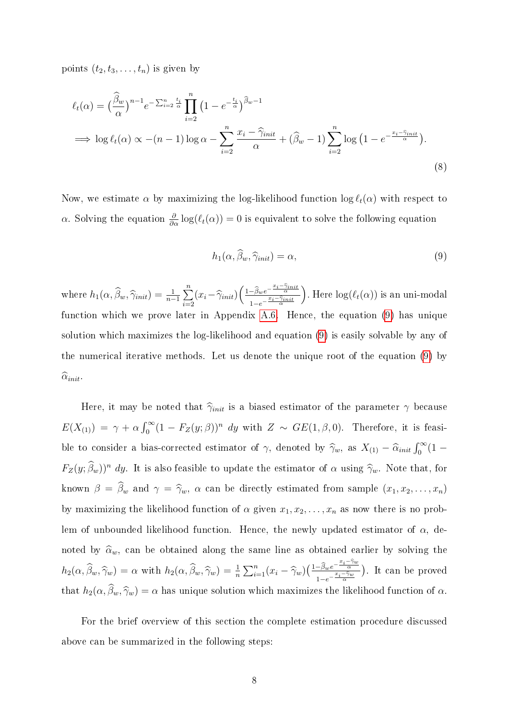points  $(t_2, t_3, \ldots, t_n)$  is given by

$$
\ell_t(\alpha) = \left(\frac{\widehat{\beta}_w}{\alpha}\right)^{n-1} e^{-\sum_{i=2}^n \frac{t_i}{\alpha}} \prod_{i=2}^n \left(1 - e^{-\frac{t_i}{\alpha}}\right)^{\widehat{\beta}_w - 1}
$$
  
\n
$$
\implies \log \ell_t(\alpha) \propto -(n-1)\log \alpha - \sum_{i=2}^n \frac{x_i - \widehat{\gamma}_{init}}{\alpha} + (\widehat{\beta}_w - 1)\sum_{i=2}^n \log \left(1 - e^{-\frac{x_i - \widehat{\gamma}_{init}}{\alpha}}\right).
$$
\n(8)

Now, we estimate  $\alpha$  by maximizing the log-likelihood function  $\log \ell_t(\alpha)$  with respect to α. Solving the equation  $\frac{\partial}{\partial \alpha}$  log( $\ell_t(\alpha)$ ) = 0 is equivalent to solve the following equation

<span id="page-7-1"></span><span id="page-7-0"></span>
$$
h_1(\alpha, \widehat{\beta}_w, \widehat{\gamma}_{init}) = \alpha,\tag{9}
$$

where  $h_1(\alpha, \widehat{\beta}_w, \widehat{\gamma}_{init}) = \frac{1}{n-1} \sum_{i=2}^n$  $\sum_{i=2}^n \bigl(x_i-\widehat\gamma_{init}\bigr) \biggl(\tfrac{1-\widehat\beta_w e^{-\frac{x_i-\widehat\gamma_{init}}{\alpha}}}{1-e^{-\frac{x_i-\widehat\gamma_{init}}{\alpha}}}\bigr)$  $1-e^{-\frac{x_i-\widehat{\gamma}_{init}}{\alpha}}$ ). Here  $\log(\ell_t(\alpha))$  is an uni-modal function which we prove later in Appendix [A.6.](#page-25-2) Hence, the equation [\(9\)](#page-7-0) has unique solution which maximizes the log-likelihood and equation [\(9\)](#page-7-0) is easily solvable by any of the numerical iterative methods. Let us denote the unique root of the equation [\(9\)](#page-7-0) by  $\widehat{\alpha}_{init}$ 

Here, it may be noted that  $\hat{\gamma}_{init}$  is a biased estimator of the parameter  $\gamma$  because  $E(X_{(1)}) = \gamma + \alpha \int_0^\infty (1 - F_Z(y;\beta))^n dy$  with  $Z \sim GE(1,\beta,0)$ . Therefore, it is feasible to consider a bias-corrected estimator of  $\gamma$ , denoted by  $\hat{\gamma}_w$ , as  $X_{(1)} - \hat{\alpha}_{init} \int_0^\infty (1 F_Z(y; \hat{\beta}_w))^n$  dy. It is also feasible to update the estimator of  $\alpha$  using  $\hat{\gamma}_w$ . Note that, for known  $\beta = \widehat{\beta}_w$  and  $\gamma = \widehat{\gamma}_w$ ,  $\alpha$  can be directly estimated from sample  $(x_1, x_2, \ldots, x_n)$ by maximizing the likelihood function of  $\alpha$  given  $x_1, x_2, \ldots, x_n$  as now there is no problem of unbounded likelihood function. Hence, the newly updated estimator of  $\alpha$ , denoted by  $\hat{\alpha}_w$ , can be obtained along the same line as obtained earlier by solving the  $h_2(\alpha, \widehat{\beta}_w, \widehat{\gamma}_w) = \alpha$  with  $h_2(\alpha, \widehat{\beta}_w, \widehat{\gamma}_w) = \frac{1}{n} \sum_{i=1}^n (x_i - \widehat{\gamma}_w) \left( \frac{1 - \widehat{\beta}_w e^{-\frac{x_i - \widehat{\gamma}_w}{\alpha}}}{1 - e^{-\frac{x_i - \widehat{\gamma}_w}{\alpha}}} \right)$  $1-e^{-\frac{x_i-\widehat{\gamma}_w}{\alpha}}$  . It can be proved that  $h_2(\alpha, \widehat{\beta}_w, \widehat{\gamma}_w) = \alpha$  has unique solution which maximizes the likelihood function of  $\alpha$ .

For the brief overview of this section the complete estimation procedure discussed above can be summarized in the following steps: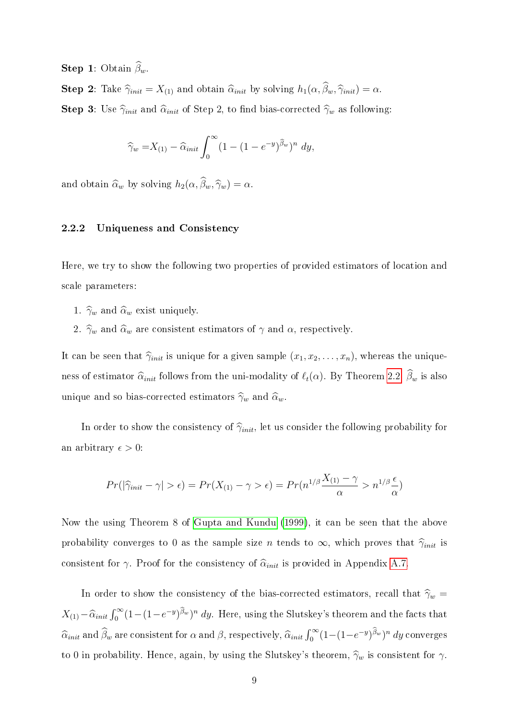**Step 1:** Obtain  $\hat{\beta}_w$ .

**Step 2:** Take  $\hat{\gamma}_{init} = X_{(1)}$  and obtain  $\hat{\alpha}_{init}$  by solving  $h_1(\alpha, \hat{\beta}_w, \hat{\gamma}_{init}) = \alpha$ .

**Step 3:** Use  $\hat{\gamma}_{init}$  and  $\hat{\alpha}_{init}$  of Step 2, to find bias-corrected  $\hat{\gamma}_w$  as following:

$$
\widehat{\gamma}_w = X_{(1)} - \widehat{\alpha}_{init} \int_0^\infty (1 - (1 - e^{-y})^{\widehat{\beta}_w})^n \ dy,
$$

and obtain  $\widehat{\alpha}_w$  by solving  $h_2(\alpha, \widehat{\beta}_w, \widehat{\gamma}_w) = \alpha$ .

#### 2.2.2 Uniqueness and Consistency

Here, we try to show the following two properties of provided estimators of location and scale parameters:

- 1.  $\hat{\gamma}_w$  and  $\hat{\alpha}_w$  exist uniquely.
- 2.  $\hat{\gamma}_w$  and  $\hat{\alpha}_w$  are consistent estimators of  $\gamma$  and  $\alpha$ , respectively.

It can be seen that  $\hat{\gamma}_{init}$  is unique for a given sample  $(x_1, x_2, \ldots, x_n)$ , whereas the uniqueness of estimator  $\hat{\alpha}_{init}$  follows from the uni-modality of  $\ell_t(\alpha)$ . By Theorem [2.2,](#page-5-1)  $\hat{\beta}_w$  is also unique and so bias-corrected estimators  $\hat{\gamma}_w$  and  $\hat{\alpha}_w$ .

In order to show the consistency of  $\hat{\gamma}_{init}$ , let us consider the following probability for an arbitrary  $\epsilon > 0$ :

$$
Pr(|\hat{\gamma}_{init} - \gamma| > \epsilon) = Pr(X_{(1)} - \gamma > \epsilon) = Pr(n^{1/\beta} \frac{X_{(1)} - \gamma}{\alpha} > n^{1/\beta} \frac{\epsilon}{\alpha})
$$

Now the using Theorem 8 of [Gupta and Kundu](#page-20-0) [\(1999\)](#page-20-0), it can be seen that the above probability converges to 0 as the sample size n tends to  $\infty$ , which proves that  $\hat{\gamma}_{init}$  is consistent for  $\gamma$ . Proof for the consistency of  $\hat{\alpha}_{init}$  is provided in Appendix [A.7.](#page-27-0)

In order to show the consistency of the bias-corrected estimators, recall that  $\hat{\gamma}_w$  =  $X_{(1)} - \widehat{\alpha}_{init} \int_0^\infty (1 - (1 - e^{-y})^{\widehat{\beta}_w})^n dy$ . Here, using the Slutskey's theorem and the facts that  $\widehat{\alpha}_{init}$  and  $\widehat{\beta}_w$  are consistent for  $\alpha$  and  $\beta$ , respectively,  $\widehat{\alpha}_{init} \int_0^\infty (1-(1-e^{-y})^{\widehat{\beta}_w})^n dy$  converges to 0 in probability. Hence, again, by using the Slutskey's theorem,  $\hat{\gamma}_w$  is consistent for  $\gamma$ .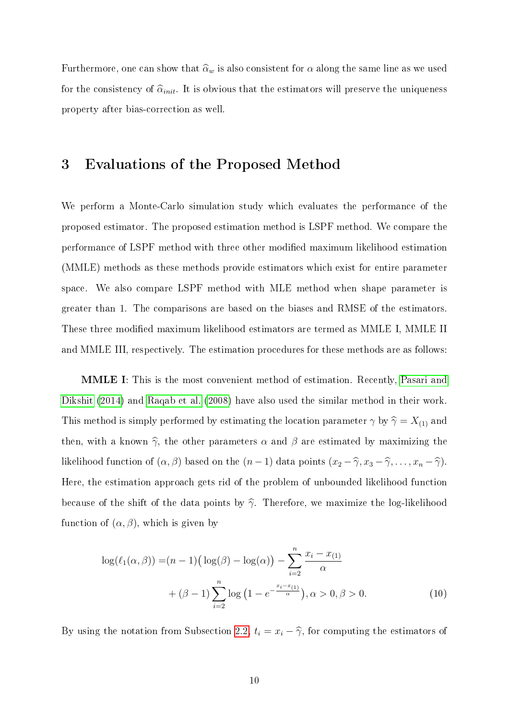Furthermore, one can show that  $\widehat{\alpha}_w$  is also consistent for  $\alpha$  along the same line as we used for the consistency of  $\hat{\alpha}_{init}$ . It is obvious that the estimators will preserve the uniqueness property after bias-correction as well.

### <span id="page-9-0"></span>3 Evaluations of the Proposed Method

We perform a Monte-Carlo simulation study which evaluates the performance of the proposed estimator. The proposed estimation method is LSPF method. We compare the performance of LSPF method with three other modied maximum likelihood estimation (MMLE) methods as these methods provide estimators which exist for entire parameter space. We also compare LSPF method with MLE method when shape parameter is greater than 1. The comparisons are based on the biases and RMSE of the estimators. These three modified maximum likelihood estimators are termed as MMLE I, MMLE II and MMLE III, respectively. The estimation procedures for these methods are as follows:

MMLE I: This is the most convenient method of estimation. Recently, [Pasari and](#page-21-5) [Dikshit](#page-21-5) [\(2014\)](#page-21-5) and [Raqab et al.](#page-21-6) [\(2008\)](#page-21-6) have also used the similar method in their work. This method is simply performed by estimating the location parameter  $\gamma$  by  $\hat{\gamma} = X_{(1)}$  and then, with a known  $\hat{\gamma}$ , the other parameters  $\alpha$  and  $\beta$  are estimated by maximizing the likelihood function of  $(\alpha, \beta)$  based on the  $(n - 1)$  data points  $(x_2 - \widehat{\gamma}, x_3 - \widehat{\gamma}, \ldots, x_n - \widehat{\gamma})$ . Here, the estimation approach gets rid of the problem of unbounded likelihood function because of the shift of the data points by  $\hat{\gamma}$ . Therefore, we maximize the log-likelihood function of  $(\alpha, \beta)$ , which is given by

<span id="page-9-1"></span>
$$
\log(\ell_1(\alpha,\beta)) = (n-1)\left(\log(\beta) - \log(\alpha)\right) - \sum_{i=2}^n \frac{x_i - x_{(1)}}{\alpha} + (\beta - 1)\sum_{i=2}^n \log\left(1 - e^{-\frac{x_i - x_{(1)}}{\alpha}}\right), \alpha > 0, \beta > 0.
$$
 (10)

By using the notation from Subsection [2.2,](#page-6-0)  $t_i = x_i - \hat{\gamma}$ , for computing the estimators of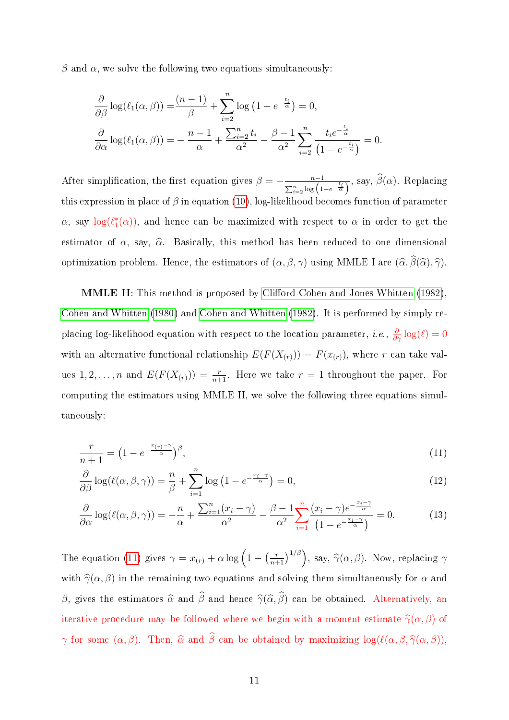$\beta$  and  $\alpha$ , we solve the following two equations simultaneously:

$$
\frac{\partial}{\partial \beta} \log(\ell_1(\alpha, \beta)) = \frac{(n-1)}{\beta} + \sum_{i=2}^n \log(1 - e^{-\frac{t_i}{\alpha}}) = 0,
$$
  

$$
\frac{\partial}{\partial \alpha} \log(\ell_1(\alpha, \beta)) = -\frac{n-1}{\alpha} + \frac{\sum_{i=2}^n t_i}{\alpha^2} - \frac{\beta - 1}{\alpha^2} \sum_{i=2}^n \frac{t_i e^{-\frac{t_i}{\alpha}}}{(1 - e^{-\frac{t_i}{\alpha}})} = 0.
$$

After simplification, the first equation gives  $\beta = -\frac{n-1}{\beta}$  $\frac{n-1}{\sum_{i=2}^n \log(1-e^{-\frac{t_i}{\alpha}})}$ , say,  $\beta(\alpha)$ . Replacing this expression in place of  $\beta$  in equation [\(10\)](#page-9-1), log-likelihood becomes function of parameter  $\alpha$ , say  $\log(\ell_1^*(\alpha))$ , and hence can be maximized with respect to  $\alpha$  in order to get the estimator of  $\alpha$ , say,  $\widehat{\alpha}$ . Basically, this method has been reduced to one dimensional optimization problem. Hence, the estimators of  $(\alpha, \beta, \gamma)$  using MMLE I are  $(\widehat{\alpha}, \widehat{\beta}(\widehat{\alpha}), \widehat{\gamma})$ .

MMLE II: This method is proposed by Clifford Cohen and Jones Whitten [\(1982\)](#page-19-1), [Cohen and Whitten](#page-19-0) [\(1980\)](#page-19-0) and [Cohen and Whitten](#page-20-3) [\(1982\)](#page-20-3). It is performed by simply replacing log-likelihood equation with respect to the location parameter, *i.e.*,  $\frac{\partial}{\partial \gamma} \log(\ell) = 0$ with an alternative functional relationship  $E(F(X_{(r)})) = F(x_{(r)})$ , where r can take values  $1, 2, ..., n$  and  $E(F(X_{(r)})) = \frac{r}{n+1}$ . Here we take  $r = 1$  throughout the paper. For computing the estimators using MMLE II, we solve the following three equations simultaneously:

<span id="page-10-0"></span>
$$
\frac{r}{n+1} = \left(1 - e^{-\frac{x_{(r)} - \gamma}{\alpha}}\right)^{\beta},\tag{11}
$$

$$
\frac{\partial}{\partial \beta} \log(\ell(\alpha, \beta, \gamma)) = \frac{n}{\beta} + \sum_{i=1}^{n} \log(1 - e^{-\frac{x_i - \gamma}{\alpha}}) = 0,
$$
\n(12)

$$
\frac{\partial}{\partial \alpha} \log(\ell(\alpha, \beta, \gamma)) = -\frac{n}{\alpha} + \frac{\sum_{i=1}^{n} (x_i - \gamma)}{\alpha^2} - \frac{\beta - 1}{\alpha^2} \sum_{i=1}^{n} \frac{(x_i - \gamma)e^{-\frac{x_i - \gamma}{\alpha}}}{(1 - e^{-\frac{x_i - \gamma}{\alpha}})} = 0.
$$
 (13)

The equation [\(11\)](#page-10-0) gives  $\gamma = x_{(r)} + \alpha \log \left(1 - \left(\frac{r}{n+1}\right)^{1/\beta}\right)$ , say,  $\hat{\gamma}(\alpha, \beta)$ . Now, replacing  $\gamma$ with  $\hat{\gamma}(\alpha, \beta)$  in the remaining two equations and solving them simultaneously for  $\alpha$  and β, gives the estimators  $\widehat{\alpha}$  and  $\widehat{\beta}$  and hence  $\widehat{\gamma}(\widehat{\alpha}, \widehat{\beta})$  can be obtained. Alternatively, an iterative procedure may be followed where we begin with a moment estimate  $\hat{\gamma}(\alpha, \beta)$  of  $\gamma$  for some  $(\alpha, \beta)$ . Then,  $\widehat{\alpha}$  and  $\widehat{\beta}$  can be obtained by maximizing log( $\ell(\alpha, \beta, \widehat{\gamma}(\alpha, \beta))$ ,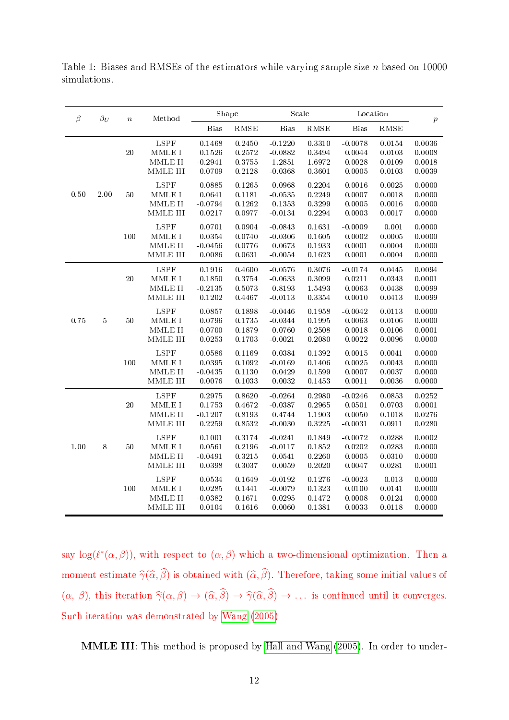<span id="page-11-0"></span>Table 1: Biases and RMSEs of the estimators while varying sample size  $n$  based on 10000 simulations.

| $\beta_U$<br>β |          | $\boldsymbol{n}$ | Method                                                                                   | Shape                                                                           |                                         | Scale                                         |                                               | Location                                   |                                         | $\boldsymbol{p}$                     |                                      |
|----------------|----------|------------------|------------------------------------------------------------------------------------------|---------------------------------------------------------------------------------|-----------------------------------------|-----------------------------------------------|-----------------------------------------------|--------------------------------------------|-----------------------------------------|--------------------------------------|--------------------------------------|
|                |          |                  |                                                                                          | <b>Bias</b>                                                                     | RMSE                                    | <b>Bias</b>                                   | RMSE                                          | <b>Bias</b>                                | RMSE                                    |                                      |                                      |
| 0.50           |          |                  | 20                                                                                       | ${\rm LSPF}$<br>$\operatorname{MMLE}$ I<br>MMLE II<br>$\operatorname{MMLE}$ III | 0.1468<br>0.1526<br>$-0.2941$<br>0.0709 | 0.2450<br>0.2572<br>0.3755<br>0.2128          | $-0.1220$<br>$-0.0882$<br>1.2851<br>$-0.0368$ | 0.3310<br>0.3494<br>1.6972<br>0.3601       | $-0.0078$<br>0.0044<br>0.0028<br>0.0005 | 0.0154<br>0.0103<br>0.0109<br>0.0103 | 0.0036<br>0.0008<br>0.0018<br>0.0039 |
|                | $2.00\,$ | 50               | LSPF<br>$\operatorname{MMLE}$ I<br>$MMLE$ $II$<br>MMLE III                               | 0.0885<br>0.0641<br>$-0.0794$<br>0.0217                                         | 0.1265<br>0.1181<br>0.1262<br>0.0977    | $-0.0968$<br>$-0.0535$<br>0.1353<br>$-0.0134$ | 0.2204<br>0.2249<br>0.3299<br>0.2294          | $-0.0016$<br>0.0007<br>0.0005<br>0.0003    | 0.0025<br>0.0018<br>0.0016<br>0.0017    | 0.0000<br>0.0000<br>0.0000<br>0.0000 |                                      |
|                |          | 100              | <b>LSPF</b><br>MMLE I<br>$\text{MMLE}$ II<br>$\operatorname{MMLE}$ III                   | 0.0701<br>0.0354<br>$-0.0456$<br>0.0086                                         | 0.0904<br>0.0740<br>0.0776<br>0.0631    | $-0.0843$<br>$-0.0306$<br>0.0673<br>$-0.0054$ | 0.1631<br>0.1605<br>0.1933<br>0.1623          | $-0.0009$<br>0.0002<br>0.0001<br>0.0001    | 0.001<br>0.0005<br>0.0004<br>0.0004     | 0.0000<br>0.0000<br>0.0000<br>0.0000 |                                      |
| 0.75           |          | $20\,$           | $\operatorname{LSPF}$<br>MMLE I<br>$\text{MMLE}$ II<br>$\text{MMLE}$ III                 | 0.1916<br>0.1850<br>$-0.2135$<br>0.1202                                         | 0.4600<br>0.3754<br>0.5073<br>0.4467    | $-0.0576$<br>$-0.0633$<br>0.8193<br>$-0.0113$ | 0.3076<br>0.3099<br>1.5493<br>0.3354          | $-0.0174$<br>0.0211<br>0.0063<br>0.0010    | 0.0445<br>0.0343<br>0.0438<br>0.0413    | 0.0094<br>0.0001<br>0.0099<br>0.0099 |                                      |
|                | $\bf 5$  | 50               | ${\rm LSPF}$<br>$\operatorname{MMLE}$ I<br>$\operatorname{MMLE}$ II<br>$\text{MMLE}$ III | 0.0857<br>0.0796<br>$-0.0700$<br>0.0253                                         | 0.1898<br>0.1735<br>0.1879<br>0.1703    | $-0.0446$<br>$-0.0344$<br>0.0760<br>$-0.0021$ | 0.1958<br>0.1995<br>0.2508<br>0.2080          | $-0.0042$<br>0.0063<br>0.0018<br>0.0022    | 0.0113<br>0.0106<br>0.0106<br>0.0096    | 0.0000<br>0.0000<br>0.0001<br>0.0000 |                                      |
|                |          | 100              | <b>LSPF</b><br>$\texttt{MMLE}{}$ I<br>MMLE II<br>$\operatorname{MMLE}$ III               | 0.0586<br>0.0395<br>$-0.0435$<br>0.0076                                         | 0.1169<br>0.1092<br>0.1130<br>0.1033    | $-0.0384$<br>$-0.0169$<br>0.0429<br>0.0032    | 0.1392<br>0.1406<br>0.1599<br>0.1453          | $-0.0015$<br>0.0025<br>0.0007<br>0.0011    | 0.0041<br>0.0043<br>0.0037<br>0.0036    | 0.0000<br>0.0000<br>0.0000<br>0.0000 |                                      |
| 1.00           |          | 20               | LSPF<br>MMLE I<br>$\operatorname{MMLE}$ II<br>$\text{MMLE}$ III                          | 0.2975<br>0.1753<br>$-0.1207$<br>0.2259                                         | 0.8620<br>0.4672<br>0.8193<br>0.8532    | $-0.0264$<br>$-0.0387$<br>0.4744<br>$-0.0030$ | 0.2980<br>0.2965<br>1.1903<br>0.3225          | $-0.0246$<br>0.0501<br>0.0050<br>$-0.0031$ | 0.0853<br>0.0703<br>0.1018<br>0.0911    | 0.0252<br>0.0001<br>0.0276<br>0.0280 |                                      |
|                | $\,8\,$  | 50               | LSPF<br>$\operatorname{MMLE}$ I<br>$\operatorname{MMLE}$ II<br>MMLE III                  | 0.1001<br>0.0561<br>$-0.0491$<br>0.0398                                         | 0.3174<br>0.2196<br>0.3215<br>0.3037    | $-0.0241$<br>$-0.0117$<br>0.0541<br>0.0059    | 0.1849<br>0.1852<br>0.2260<br>0.2020          | $-0.0072$<br>0.0202<br>0.0005<br>0.0047    | 0.0288<br>0.0283<br>0.0310<br>0.0281    | 0.0002<br>0.0000<br>0.0000<br>0.0001 |                                      |
|                |          |                  | 100                                                                                      | <b>LSPF</b><br>$\operatorname{MMLE}$ I<br>$\text{MMLE}$ II<br>MMLE III          | 0.0534<br>0.0285<br>$-0.0382$<br>0.0104 | 0.1649<br>0.1441<br>0.1671<br>0.1616          | $-0.0192$<br>$-0.0079$<br>0.0295<br>0.0060    | 0.1276<br>0.1323<br>0.1472<br>0.1381       | $-0.0023$<br>0.0100<br>0.0008<br>0.0033 | 0.013<br>0.0141<br>0.0124<br>0.0118  | 0.0000<br>0.0000<br>0.0000<br>0.0000 |

say  $log(\ell^*(\alpha, \beta))$ , with respect to  $(\alpha, \beta)$  which a two-dimensional optimization. Then a moment estimate  $\widehat{\gamma}(\widehat{\alpha}, \beta)$  is obtained with  $(\widehat{\alpha}, \beta)$ . Therefore, taking some initial values of  $(\alpha, \beta)$ , this iteration  $\hat{\gamma}(\alpha, \beta) \to (\hat{\alpha}, \beta) \to \hat{\gamma}(\hat{\alpha}, \beta) \to \dots$  is continued until it converges. Such iteration was demonstrated by [Wang](#page-21-7) [\(2005\)](#page-21-7)

MMLE III: This method is proposed by [Hall and Wang](#page-20-5) [\(2005\)](#page-20-5). In order to under-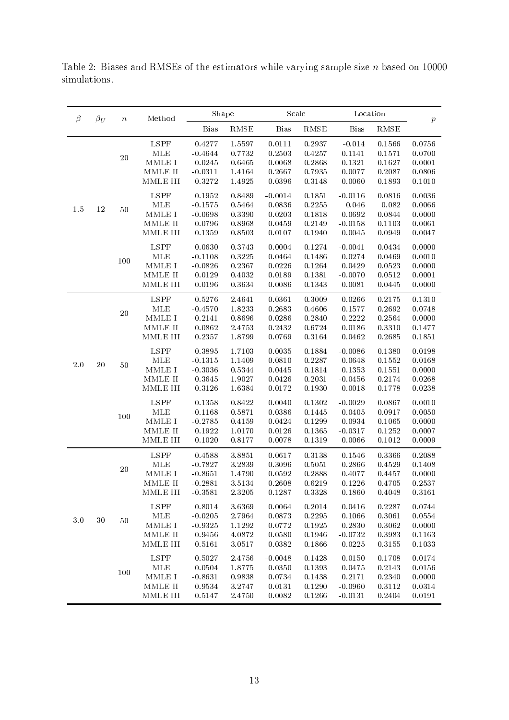<span id="page-12-0"></span>Table 2: Biases and RMSEs of the estimators while varying sample size  $n$  based on 10000 simulations.

|               | $\beta$<br>$\beta_U$<br>$\, n$ |                          | Method                    | Shape       |        | Scale       |           | Location    |             | $\boldsymbol{p}$ |
|---------------|--------------------------------|--------------------------|---------------------------|-------------|--------|-------------|-----------|-------------|-------------|------------------|
|               |                                |                          |                           | <b>Bias</b> | RMSE   | <b>Bias</b> | RMSE      | <b>Bias</b> | <b>RMSE</b> |                  |
|               |                                |                          | <b>LSPF</b>               | 0.4277      | 1.5597 | 0.0111      | 0.2937    | $-0.014$    | 0.1566      | 0.0756           |
|               |                                | 20                       | <b>MLE</b>                | $-0.4644$   | 0.7732 | 0.2503      | 0.4257    | 0.1141      | 0.1571      | 0.0700           |
|               |                                |                          | $\texttt{MMLE}{}$ I       | 0.0245      | 0.6465 | 0.0068      | 0.2868    | 0.1321      | 0.1627      | 0.0001           |
|               |                                |                          | MMLE II                   | $-0.0311$   | 1.4164 | 0.2667      | 0.7935    | 0.0077      | 0.2087      | 0.0806           |
|               |                                |                          | MMLE III                  | 0.3272      | 1.4925 | 0.0396      | 0.3148    | 0.0060      | 0.1893      | 0.1010           |
|               |                                |                          | <b>LSPF</b>               | 0.1952      | 0.8489 | $-0.0014$   | 0.1851    | $-0.0116$   | 0.0816      | 0.0036           |
| 1.5           | 12                             | 50                       | MLE                       | $-0.1575$   | 0.5464 | 0.0836      | 0.2255    | $0.046\,$   | 0.082       | 0.0066           |
|               |                                |                          | MMLE I                    | $-0.0698$   | 0.3390 | 0.0203      | 0.1818    | 0.0692      | 0.0844      | 0.0000           |
|               |                                |                          | $\operatorname{MMLE}$ II  | 0.0796      | 0.8968 | 0.0459      | 0.2149    | $-0.0158$   | 0.1103      | 0.0061           |
|               |                                |                          | MMLE III                  | 0.1359      | 0.8503 | 0.0107      | 0.1940    | 0.0045      | 0.0949      | 0.0047           |
|               |                                |                          | <b>LSPF</b>               | 0.0630      | 0.3743 | 0.0004      | 0.1274    | $-0.0041$   | 0.0434      | 0.0000           |
|               |                                | 100                      | <b>MLE</b>                | $-0.1108$   | 0.3225 | 0.0464      | 0.1486    | 0.0274      | 0.0469      | 0.0010           |
|               |                                |                          | $\operatorname{MMLE}$ I   | $-0.0826$   | 0.2367 | 0.0226      | 0.1264    | 0.0429      | 0.0523      | 0.0000           |
|               |                                |                          | MMLE II                   | 0.0129      | 0.4032 | 0.0189      | 0.1381    | $-0.0070$   | 0.0512      | 0.0001           |
|               |                                |                          | MMLE III                  | 0.0196      | 0.3634 | 0.0086      | 0.1343    | 0.0081      | 0.0445      | 0.0000           |
|               |                                |                          | <b>LSPF</b>               | 0.5276      | 2.4641 | 0.0361      | 0.3009    | 0.0266      | 0.2175      | 0.1310           |
|               |                                | 20                       | MLE                       | $-0.4570$   | 1.8233 | 0.2683      | 0.4606    | 0.1577      | 0.2692      | 0.0748           |
|               |                                |                          | MMLE I                    | $-0.2141$   | 0.8696 | 0.0286      | 0.2840    | 0.2222      | 0.2564      | 0.0000           |
|               |                                |                          | MMLE II                   | 0.0862      | 2.4753 | 0.2432      | 0.6724    | 0.0186      | 0.3310      | 0.1477           |
| $20\,$<br>2.0 | $50\,$                         | MMLE III                 | 0.2357                    | 1.8799      | 0.0769 | 0.3164      | 0.0462    | 0.2685      | 0.1851      |                  |
|               |                                | <b>LSPF</b>              | 0.3895                    | 1.7103      | 0.0035 | 0.1884      | $-0.0086$ | 0.1380      | 0.0198      |                  |
|               |                                | MLE                      | $-0.1315$                 | 1.1409      | 0.0810 | 0.2287      | 0.0648    | 0.1552      | 0.0168      |                  |
|               |                                |                          | MMLE I                    | $-0.3036$   | 0.5344 | 0.0445      | 0.1814    | 0.1353      | 0.1551      | 0.0000           |
|               |                                | $\operatorname{MMLE}$ II | 0.3645                    | 1.9027      | 0.0426 | 0.2031      | $-0.0456$ | 0.2174      | 0.0268      |                  |
|               |                                |                          | MMLE III                  | 0.3126      | 1.6384 | 0.0172      | 0.1930    | 0.0018      | 0.1778      | 0.0238           |
|               |                                |                          | <b>LSPF</b>               | 0.1358      | 0.8422 | 0.0040      | 0.1302    | $-0.0029$   | 0.0867      | 0.0010           |
|               |                                | 100                      | MLE                       | $-0.1168$   | 0.5871 | 0.0386      | 0.1445    | 0.0405      | 0.0917      | 0.0050           |
|               |                                | MMLE I                   | $-0.2785$                 | 0.4159      | 0.0424 | 0.1299      | 0.0934    | 0.1065      | 0.0000      |                  |
|               |                                |                          | $\operatorname{MMLE}$ II  | 0.1922      | 1.0170 | 0.0126      | 0.1365    | $-0.0317$   | 0.1252      | 0.0007           |
|               |                                |                          | MMLE III                  | 0.1020      | 0.8177 | 0.0078      | 0.1319    | 0.0066      | 0.1012      | 0.0009           |
|               |                                |                          | LSPF                      | 0.4588      | 3.8851 | 0.0617      | 0.3138    | 0.1546      | 0.3366      | 0.2088           |
|               |                                | $20\,$                   | MLE                       | $-0.7827$   | 3.2839 | 0.3096      | 0.5051    | 0.2866      | 0.4529      | 0.1408           |
|               |                                |                          | MMLE I                    | $-0.8651$   | 1.4790 | 0.0592      | 0.2888    | 0.4077      | 0.4457      | 0.0000           |
|               |                                | MMLE II                  | $-0.2881$                 | 3.5134      | 0.2608 | 0.6219      | 0.1226    | 0.4705      | 0.2537      |                  |
|               |                                | MMLE III                 | $-0.3581$                 | 2.3205      | 0.1287 | 0.3328      | 0.1860    | 0.4048      | 0.3161      |                  |
|               |                                | 50                       | ${\rm LSPF}$              | 0.8014      | 3.6369 | 0.0064      | 0.2014    | 0.0416      | 0.2287      | 0.0744           |
| $3.0\,$       | $30\,$                         |                          | $\operatorname{MLE}$      | $-0.0205$   | 2.7964 | 0.0873      | 0.2295    | 0.1066      | 0.3061      | 0.0554           |
|               |                                |                          | MMLE I                    | $-0.9325$   | 1.1292 | 0.0772      | 0.1925    | 0.2830      | 0.3062      | 0.0000           |
|               |                                | 100                      | MMLE II                   | 0.9456      | 4.0872 | 0.0580      | 0.1946    | $-0.0732$   | 0.3983      | 0.1163           |
|               |                                |                          | MMLE III                  | 0.5161      | 3.0517 | 0.0382      | 0.1866    | 0.0225      | 0.3155      | 0.1033           |
|               |                                |                          | LSPF                      | 0.5027      | 2.4756 | $-0.0048$   | 0.1428    | 0.0150      | 0.1708      | 0.0174           |
|               |                                |                          | MLE                       | 0.0504      | 1.8775 | 0.0350      | 0.1393    | 0.0475      | 0.2143      | 0.0156           |
|               |                                |                          | $\operatorname{MMLE}$ I   | $-0.8631$   | 0.9838 | 0.0734      | 0.1438    | 0.2171      | 0.2340      | 0.0000           |
|               |                                |                          | MMLE II                   | 0.9534      | 3.2747 | 0.0131      | 0.1290    | $-0.0960$   | 0.3112      | 0.0314           |
|               |                                |                          | $\operatorname{MMLE}$ III | 0.5147      | 2.4750 | 0.0082      | 0.1266    | $-0.0131$   | 0.2404      | 0.0191           |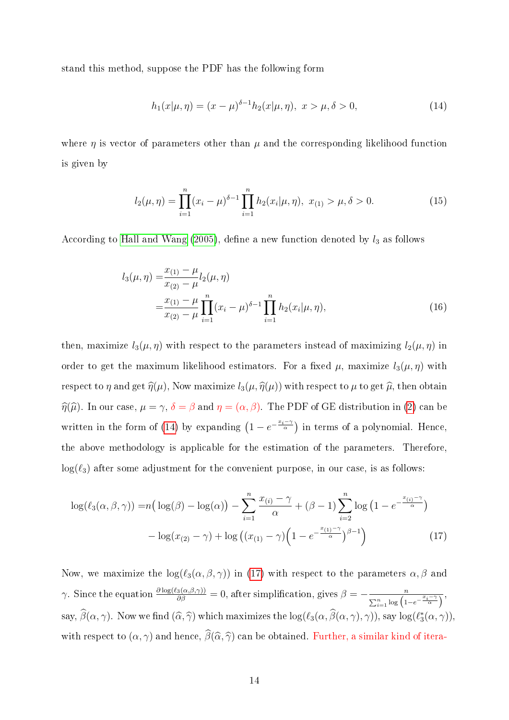stand this method, suppose the PDF has the following form

<span id="page-13-0"></span>
$$
h_1(x|\mu, \eta) = (x - \mu)^{\delta - 1} h_2(x|\mu, \eta), \ x > \mu, \delta > 0,
$$
\n(14)

where  $\eta$  is vector of parameters other than  $\mu$  and the corresponding likelihood function is given by

$$
l_2(\mu, \eta) = \prod_{i=1}^n (x_i - \mu)^{\delta - 1} \prod_{i=1}^n h_2(x_i | \mu, \eta), \ x_{(1)} > \mu, \delta > 0.
$$
 (15)

According to [Hall and Wang](#page-20-5) [\(2005\)](#page-20-5), define a new function denoted by  $l_3$  as follows

$$
l_3(\mu, \eta) = \frac{x_{(1)} - \mu}{x_{(2)} - \mu} l_2(\mu, \eta)
$$
  
= 
$$
\frac{x_{(1)} - \mu}{x_{(2)} - \mu} \prod_{i=1}^n (x_i - \mu)^{\delta - 1} \prod_{i=1}^n h_2(x_i | \mu, \eta),
$$
 (16)

then, maximize  $l_3(\mu, \eta)$  with respect to the parameters instead of maximizing  $l_2(\mu, \eta)$  in order to get the maximum likelihood estimators. For a fixed  $\mu$ , maximize  $l_3(\mu, \eta)$  with respect to  $\eta$  and get  $\hat{\eta}(\mu)$ , Now maximize  $l_3(\mu, \hat{\eta}(\mu))$  with respect to  $\mu$  to get  $\hat{\mu}$ , then obtain  $\hat{\eta}(\hat{\mu})$ . In our case,  $\mu = \gamma$ ,  $\delta = \beta$  and  $\eta = (\alpha, \beta)$ . The PDF of GE distribution in [\(2\)](#page-1-1) can be written in the form of [\(14\)](#page-13-0) by expanding  $(1 - e^{-\frac{x_i - \gamma}{\alpha}})$  in terms of a polynomial. Hence, the above methodology is applicable for the estimation of the parameters. Therefore,  $log(\ell_3)$  after some adjustment for the convenient purpose, in our case, is as follows:

<span id="page-13-1"></span>
$$
\log(\ell_3(\alpha, \beta, \gamma)) = n\left(\log(\beta) - \log(\alpha)\right) - \sum_{i=1}^n \frac{x_{(i)} - \gamma}{\alpha} + (\beta - 1) \sum_{i=2}^n \log\left(1 - e^{-\frac{x_{(i)} - \gamma}{\alpha}}\right) - \log(x_{(2)} - \gamma) + \log\left((x_{(1)} - \gamma)\left(1 - e^{-\frac{x_{(1)} - \gamma}{\alpha}}\right)^{\beta - 1}\right)
$$
(17)

Now, we maximize the  $\log(\ell_3(\alpha, \beta, \gamma))$  in [\(17\)](#page-13-1) with respect to the parameters  $\alpha, \beta$  and γ. Since the equation  $\frac{\partial \log(\ell_3(\alpha,\beta,\gamma))}{\partial \beta} = 0$ , after simplification, gives  $\beta = -\frac{n}{\sum_{n=1}^n \log(1+\beta)}$  $\frac{n}{\sum_{i=1}^n \log\left(1-e^{-\frac{x_i-\gamma}{\alpha}}\right)},$ say,  $\hat{\beta}(\alpha, \gamma)$ . Now we find  $(\widehat{\alpha}, \widehat{\gamma})$  which maximizes the  $\log(\ell_3(\alpha, \widehat{\beta}(\alpha, \gamma), \gamma))$ , say  $\log(\ell_3^*(\alpha, \gamma))$ , with respect to  $(\alpha, \gamma)$  and hence,  $\widehat{\beta}(\widehat{\alpha}, \widehat{\gamma})$  can be obtained. Further, a similar kind of itera-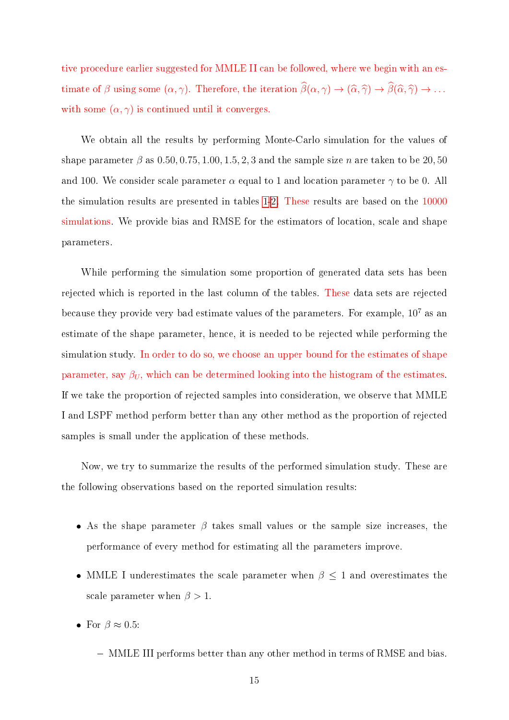tive procedure earlier suggested for MMLE II can be followed, where we begin with an estimate of  $\beta$  using some  $(\alpha, \gamma)$ . Therefore, the iteration  $\widehat{\beta}(\alpha, \gamma) \to (\widehat{\alpha}, \widehat{\gamma}) \to \widehat{\beta}(\widehat{\alpha}, \widehat{\gamma}) \to \ldots$ with some  $(\alpha, \gamma)$  is continued until it converges.

We obtain all the results by performing Monte-Carlo simulation for the values of shape parameter  $\beta$  as 0.50, 0.75, 1.00, 1.5, 2, 3 and the sample size n are taken to be 20, 50 and 100. We consider scale parameter  $\alpha$  equal to 1 and location parameter  $\gamma$  to be 0. All the simulation results are presented in tables [1-](#page-11-0)[2.](#page-12-0) These results are based on the 10000 simulations. We provide bias and RMSE for the estimators of location, scale and shape parameters.

While performing the simulation some proportion of generated data sets has been rejected which is reported in the last column of the tables. These data sets are rejected because they provide very bad estimate values of the parameters. For example,  $10^7$  as an estimate of the shape parameter, hence, it is needed to be rejected while performing the simulation study. In order to do so, we choose an upper bound for the estimates of shape parameter, say  $\beta_U$ , which can be determined looking into the histogram of the estimates. If we take the proportion of rejected samples into consideration, we observe that MMLE I and LSPF method perform better than any other method as the proportion of rejected samples is small under the application of these methods.

Now, we try to summarize the results of the performed simulation study. These are the following observations based on the reported simulation results:

- As the shape parameter  $\beta$  takes small values or the sample size increases, the performance of every method for estimating all the parameters improve.
- MMLE I underestimates the scale parameter when  $\beta \leq 1$  and overestimates the scale parameter when  $\beta > 1$ .
- For  $\beta \approx 0.5$ :
	- MMLE III performs better than any other method in terms of RMSE and bias.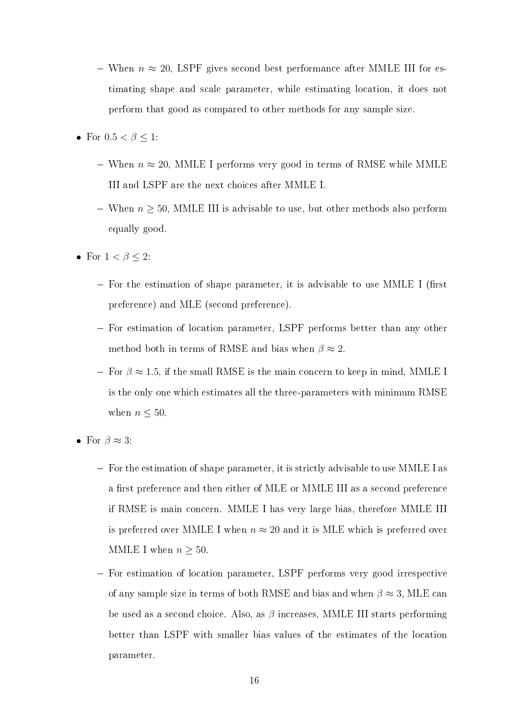- $−$  When  $n \approx 20$ , LSPF gives second best performance after MMLE III for estimating shape and scale parameter, while estimating location, it does not perform that good as compared to other methods for any sample size.
- For  $0.5 < \beta \leq 1$ :
	- When  $n \approx 20$ , MMLE I performs very good in terms of RMSE while MMLE III and LSPF are the next choices after MMLE I.
	- When  $n \geq 50$ , MMLE III is advisable to use, but other methods also perform equally good.
- For  $1 < \beta \leq 2$ :
	- $-$  For the estimation of shape parameter, it is advisable to use MMLE I (first preference) and MLE (second preference).
	- For estimation of location parameter, LSPF performs better than any other method both in terms of RMSE and bias when  $\beta \approx 2$ .
	- $F -$  For  $\beta \approx 1.5$ , if the small RMSE is the main concern to keep in mind, MMLE I is the only one which estimates all the three-parameters with minimum RMSE when  $n \leq 50$ .
- For  $\beta \approx 3$ :
	- $-$  For the estimation of shape parameter, it is strictly advisable to use MMLE I as a first preference and then either of MLE or MMLE III as a second preference if RMSE is main concern. MMLE I has very large bias, therefore MMLE III is preferred over MMLE I when  $n \approx 20$  and it is MLE which is preferred over MMLE I when  $n \geq 50$ .
	- For estimation of location parameter, LSPF performs very good irrespective of any sample size in terms of both RMSE and bias and when  $\beta \approx 3$ , MLE can be used as a second choice. Also, as  $\beta$  increases, MMLE III starts performing better than LSPF with smaller bias values of the estimates of the location parameter.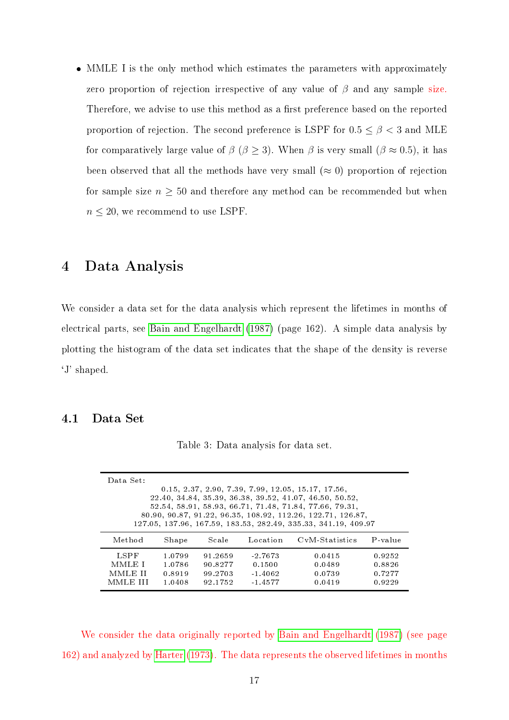MMLE I is the only method which estimates the parameters with approximately zero proportion of rejection irrespective of any value of  $\beta$  and any sample size. Therefore, we advise to use this method as a first preference based on the reported proportion of rejection. The second preference is LSPF for  $0.5 \le \beta < 3$  and MLE for comparatively large value of  $\beta$  ( $\beta \ge 3$ ). When  $\beta$  is very small ( $\beta \approx 0.5$ ), it has been observed that all the methods have very small  $(\approx 0)$  proportion of rejection for sample size  $n \geq 50$  and therefore any method can be recommended but when  $n \leq 20$ , we recommend to use LSPF.

### <span id="page-16-0"></span>4 Data Analysis

We consider a data set for the data analysis which represent the lifetimes in months of electrical parts, see [Bain and Engelhardt](#page-19-2) [\(1987\)](#page-19-2) (page 162). A simple data analysis by plotting the histogram of the data set indicates that the shape of the density is reverse `J' shaped.

### <span id="page-16-1"></span>4.1 Data Set

| Data Set:<br>$0.15, 2.37, 2.90, 7.39, 7.99, 12.05, 15.17, 17.56,$<br>22.40, 34.84, 35.39, 36.38, 39.52, 41.07, 46.50, 50.52,<br>52.54, 58.91, 58.93, 66.71, 71.48, 71.84, 77.66, 79.31,<br>80.90, 90.87, 91.22, 96.35, 108.92, 112.26, 122.71, 126.87,<br>127.05, 137.96, 167.59, 183.53, 282.49, 335.33, 341.19, 409.97 |                                      |                                          |                                               |                                      |                                      |  |  |  |
|--------------------------------------------------------------------------------------------------------------------------------------------------------------------------------------------------------------------------------------------------------------------------------------------------------------------------|--------------------------------------|------------------------------------------|-----------------------------------------------|--------------------------------------|--------------------------------------|--|--|--|
| Method                                                                                                                                                                                                                                                                                                                   | Shape                                | Scale                                    | Location                                      | CyM-Statistics                       | P value                              |  |  |  |
| LSPF<br>MMLE I<br>MMLE II<br>MMLE III                                                                                                                                                                                                                                                                                    | 1.0799<br>1.0786<br>0.8919<br>1.0408 | 91 2659<br>90.8277<br>99 2703<br>92.1752 | $-2.7673$<br>0.1500<br>$-1.4062$<br>$-1.4577$ | 0.0415<br>0.0489<br>0.0739<br>0.0419 | 0.9252<br>0.8826<br>0.7277<br>0.9229 |  |  |  |

Table 3: Data analysis for data set.

We consider the data originally reported by [Bain and Engelhardt](#page-19-2) [\(1987\)](#page-19-2) (see page 162) and analyzed by [Harter](#page-20-7) [\(1973\)](#page-20-7). The data represents the observed lifetimes in months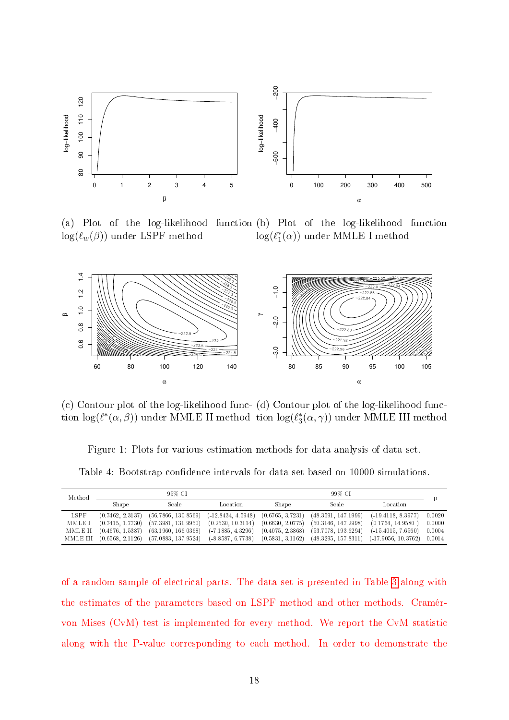<span id="page-17-0"></span>

(a) Plot of the log-likelihood function (b) Plot  $log(\ell_w(\beta))$  under LSPF method of the log-likelihood function  $\log(\ell_1^*(\alpha))$  under MMLE I method



(c) Contour plot of the log-likelihood func-(d) Contour plot of the log-likelihood function  $\log(\ell^*(\alpha, \beta))$  under MMLE II method tion  $\log(\ell_3^*(\alpha, \gamma))$  under MMLE III method

Figure 1: Plots for various estimation methods for data analysis of data set.

Table 4: Bootstrap confidence intervals for data set based on 10000 simulations.

| Method  |                  | 95% CI                                                                                               |                                        | 99% CI           |                     |                       |        |
|---------|------------------|------------------------------------------------------------------------------------------------------|----------------------------------------|------------------|---------------------|-----------------------|--------|
|         | Shape            | Scale                                                                                                | Location                               | Shape            | Scale               | Location              |        |
| LSPF    | (0.7462, 2.3137) | $(56.7866, 130.8569)$ $(-12.8434, 4.5948)$ $(0.6765, 3.7231)$                                        |                                        |                  | (48.3591, 147.1999) | $(-19.4118.8.3977)$   | 0.0020 |
| MMLE I  | (0.7415, 1.7730) | (57.3981, 131.9950)                                                                                  | $(0.2530, 10.3114)$ $(0.6630, 2.0775)$ |                  | (50.3146, 147.2998) | (0.1764, 14.9580)     | 0.0000 |
| MMLE II | (0.4676, 1.5387) | $(63.1960, 166.0368)$ $(-7.1885, 4.3296)$                                                            |                                        | (0.4075, 2.3868) | (53.7078, 193.6294) | $(-15.4015, 7.6560)$  | 0.0004 |
|         |                  | MMLE III (0.6568, 2.1126) (57.0883, 137.9524) (-8.8587, 6.7738) (0.5831, 3.1162) (48.3295, 157.8311) |                                        |                  |                     | $(-17.9056, 10.3762)$ | 0.0014 |

of a random sample of electrical parts. The data set is presented in Table [3](#page-16-1) along with the estimates of the parameters based on LSPF method and other methods. Cramérvon Mises (CvM) test is implemented for every method. We report the CvM statistic along with the P-value corresponding to each method. In order to demonstrate the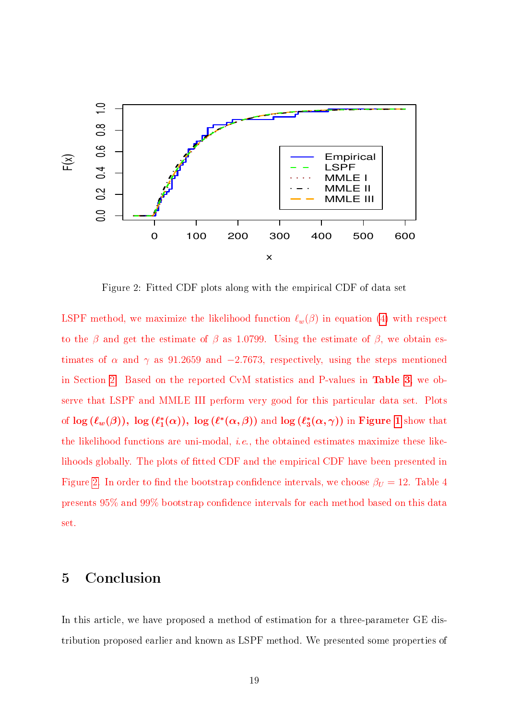<span id="page-18-1"></span>

Figure 2: Fitted CDF plots along with the empirical CDF of data set

LSPF method, we maximize the likelihood function  $\ell_w(\beta)$  in equation [\(4\)](#page-4-2) with respect to the  $\beta$  and get the estimate of  $\beta$  as 1.0799. Using the estimate of  $\beta$ , we obtain estimates of  $\alpha$  and  $\gamma$  as 91.2659 and −2.7673, respectively, using the steps mentioned in Section [2.](#page-3-0) Based on the reported CvM statistics and P-values in Table [3,](#page-16-1) we observe that LSPF and MMLE III perform very good for this particular data set. Plots of  $\log \, (\ell_w(\beta)), \ \log \, (\ell_1^*(\alpha)), \ \log \, (\ell^*(\alpha,\beta))$  and  $\log \, (\ell_3^*(\alpha,\gamma))$  in Figure [1](#page-17-0) show that the likelihood functions are uni-modal, i.e., the obtained estimates maximize these likelihoods globally. The plots of fitted CDF and the empirical CDF have been presented in Figure [2.](#page-18-1) In order to find the bootstrap confidence intervals, we choose  $\beta_U = 12$ . Table 4 presents 95% and 99% bootstrap condence intervals for each method based on this data set.

# <span id="page-18-0"></span>5 Conclusion

In this article, we have proposed a method of estimation for a three-parameter GE distribution proposed earlier and known as LSPF method. We presented some properties of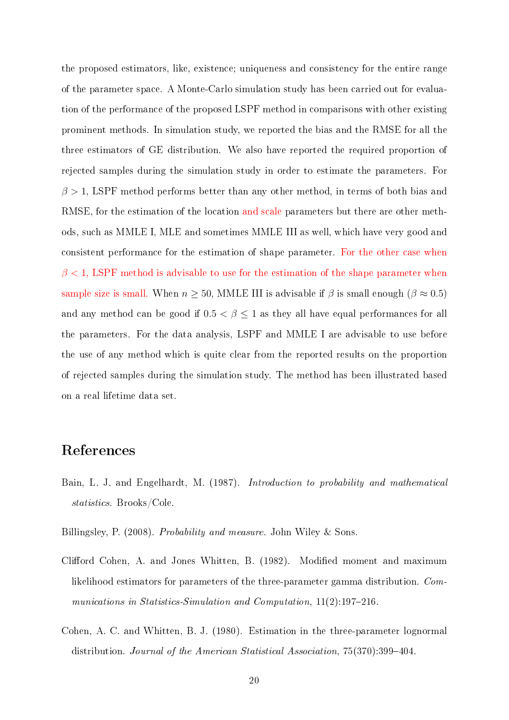the proposed estimators, like, existence; uniqueness and consistency for the entire range of the parameter space. A Monte-Carlo simulation study has been carried out for evaluation of the performance of the proposed LSPF method in comparisons with other existing prominent methods. In simulation study, we reported the bias and the RMSE for all the three estimators of GE distribution. We also have reported the required proportion of rejected samples during the simulation study in order to estimate the parameters. For  $\beta > 1$ , LSPF method performs better than any other method, in terms of both bias and RMSE, for the estimation of the location and scale parameters but there are other methods, such as MMLE I, MLE and sometimes MMLE III as well, which have very good and consistent performance for the estimation of shape parameter. For the other case when  $\beta$  < 1, LSPF method is advisable to use for the estimation of the shape parameter when sample size is small. When  $n \ge 50$ , MMLE III is advisable if  $\beta$  is small enough  $(\beta \approx 0.5)$ and any method can be good if  $0.5 < \beta \leq 1$  as they all have equal performances for all the parameters. For the data analysis, LSPF and MMLE I are advisable to use before the use of any method which is quite clear from the reported results on the proportion of rejected samples during the simulation study. The method has been illustrated based on a real lifetime data set.

# References

- <span id="page-19-2"></span>Bain, L. J. and Engelhardt, M. (1987). Introduction to probability and mathematical statistics. Brooks/Cole.
- <span id="page-19-3"></span>Billingsley, P. (2008). *Probability and measure*. John Wiley & Sons.
- <span id="page-19-1"></span>Clifford Cohen, A. and Jones Whitten, B. (1982). Modified moment and maximum likelihood estimators for parameters of the three-parameter gamma distribution. Communications in Statistics-Simulation and Computation,  $11(2)$ :197-216.
- <span id="page-19-0"></span>Cohen, A. C. and Whitten, B. J. (1980). Estimation in the three-parameter lognormal distribution. Journal of the American Statistical Association, 75(370):399-404.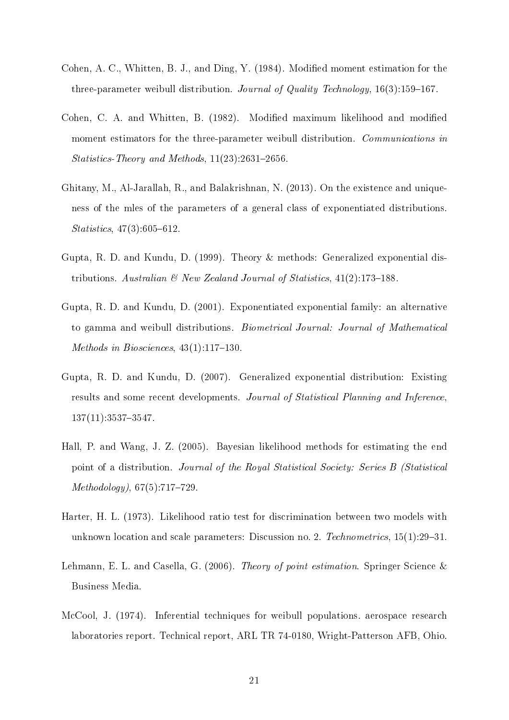- <span id="page-20-4"></span>Cohen, A. C., Whitten, B. J., and Ding, Y. (1984). Modied moment estimation for the three-parameter weibull distribution. Journal of Quality Technology,  $16(3):159-167$ .
- <span id="page-20-3"></span>Cohen, C. A. and Whitten, B. (1982). Modified maximum likelihood and modified moment estimators for the three-parameter weibull distribution. Communications in Statistics-Theory and Methods,  $11(23):2631-2656$ .
- <span id="page-20-8"></span>Ghitany, M., Al-Jarallah, R., and Balakrishnan, N. (2013). On the existence and uniqueness of the mles of the parameters of a general class of exponentiated distributions.  $Statistics, 47(3):605-612.$
- <span id="page-20-0"></span>Gupta, R. D. and Kundu, D. (1999). Theory & methods: Generalized exponential distributions. Australian  $\mathcal{B}$  New Zealand Journal of Statistics, 41(2):173-188.
- <span id="page-20-1"></span>Gupta, R. D. and Kundu, D. (2001). Exponentiated exponential family: an alternative to gamma and weibull distributions. Biometrical Journal: Journal of Mathematical Methods in Biosciences,  $43(1):117-130$ .
- <span id="page-20-2"></span>Gupta, R. D. and Kundu, D. (2007). Generalized exponential distribution: Existing results and some recent developments. Journal of Statistical Planning and Inference,  $137(11):3537-3547.$
- <span id="page-20-5"></span>Hall, P. and Wang, J. Z. (2005). Bayesian likelihood methods for estimating the end point of a distribution. Journal of the Royal Statistical Society: Series B (Statistical  $Methodology, 67(5):717-729.$
- <span id="page-20-7"></span>Harter, H. L. (1973). Likelihood ratio test for discrimination between two models with unknown location and scale parameters: Discussion no. 2. Technometrics,  $15(1):29-31$ .
- <span id="page-20-6"></span>Lehmann, E. L. and Casella, G. (2006). Theory of point estimation. Springer Science & Business Media.
- McCool, J. (1974). Inferential techniques for weibull populations. aerospace research laboratories report. Technical report, ARL TR 74-0180, Wright-Patterson AFB, Ohio.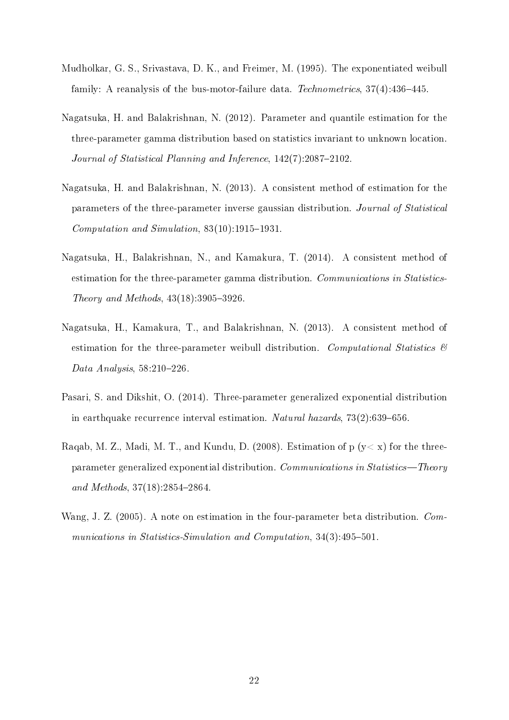- <span id="page-21-1"></span>Mudholkar, G. S., Srivastava, D. K., and Freimer, M. (1995). The exponentiated weibull family: A reanalysis of the bus-motor-failure data. Technometrics,  $37(4)$ :  $436-445$ .
- <span id="page-21-2"></span>Nagatsuka, H. and Balakrishnan, N. (2012). Parameter and quantile estimation for the three-parameter gamma distribution based on statistics invariant to unknown location. Journal of Statistical Planning and Inference,  $142(7)$ :2087–2102.
- <span id="page-21-3"></span>Nagatsuka, H. and Balakrishnan, N. (2013). A consistent method of estimation for the parameters of the three-parameter inverse gaussian distribution. Journal of Statistical Computation and Simulation,  $83(10):1915-1931$ .
- <span id="page-21-4"></span>Nagatsuka, H., Balakrishnan, N., and Kamakura, T. (2014). A consistent method of estimation for the three-parameter gamma distribution. Communications in Statistics-Theory and Methods,  $43(18):3905-3926$ .
- <span id="page-21-0"></span>Nagatsuka, H., Kamakura, T., and Balakrishnan, N. (2013). A consistent method of estimation for the three-parameter weibull distribution. Computational Statistics  $\mathcal{B}$ Data Analysis,  $58:210-226$ .
- <span id="page-21-5"></span>Pasari, S. and Dikshit, O. (2014). Three-parameter generalized exponential distribution in earthquake recurrence interval estimation. Natural hazards,  $73(2):639-656$ .
- <span id="page-21-6"></span>Raqab, M. Z., Madi, M. T., and Kundu, D. (2008). Estimation of  $p (y < x)$  for the threeparameter generalized exponential distribution. Communications in Statistics—Theory and Methods,  $37(18):2854-2864$ .
- <span id="page-21-7"></span>Wang, J. Z. (2005). A note on estimation in the four-parameter beta distribution. Communications in Statistics-Simulation and Computation,  $34(3)$ : $495-501$ .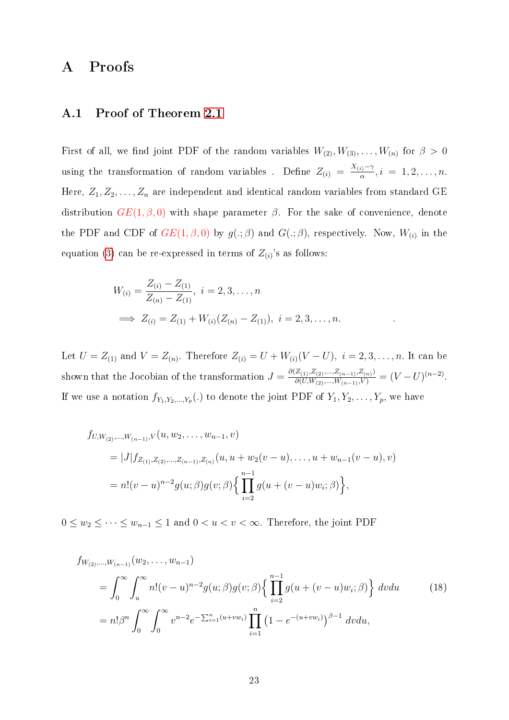### <span id="page-22-0"></span>A Proofs

#### A.1 Proof of Theorem [2.1](#page-4-1)

First of all, we find joint PDF of the random variables  $W_{(2)}, W_{(3)}, \ldots, W_{(n)}$  for  $\beta > 0$ using the transformation of random variables. Define  $Z_{(i)} = \frac{X_{(i)} - \gamma}{\alpha}$  $\frac{i}{\alpha}, i = 1, 2, \ldots, n.$ Here,  $Z_1, Z_2, \ldots, Z_n$  are independent and identical random variables from standard GE distribution  $GE(1, \beta, 0)$  with shape parameter  $\beta$ . For the sake of convenience, denote the PDF and CDF of  $GE(1,\beta,0)$  by  $g(.;\beta)$  and  $G(.;\beta)$ , respectively. Now,  $W_{(i)}$  in the equation [\(3\)](#page-3-1) can be re-expressed in terms of  $Z_{(i)}$ 's as follows:

$$
W_{(i)} = \frac{Z_{(i)} - Z_{(1)}}{Z_{(n)} - Z_{(1)}}, \quad i = 2, 3, \dots, n
$$
  
\n
$$
\implies Z_{(i)} = Z_{(1)} + W_{(i)}(Z_{(n)} - Z_{(1)}), \quad i = 2, 3, \dots, n.
$$

Let  $U = Z_{(1)}$  and  $V = Z_{(n)}$ . Therefore  $Z_{(i)} = U + W_{(i)}(V - U)$ ,  $i = 2, 3, ..., n$ . It can be shown that the Jocobian of the transformation  $J = \frac{\partial (Z_{(1)}, Z_{(2)}, ..., Z_{(n-1)}, Z_{(n)})}{\partial (U, W_{(2)}, ..., W_{(n-1)}, V)} = (V - U)^{(n-2)}$ . If we use a notation  $f_{Y_1, Y_2, ..., Y_p}$  (.) to denote the joint PDF of  $Y_1, Y_2, ..., Y_p$ , we have

$$
f_{U,W_{(2)},...,W_{(n-1)},V}(u, w_2,...,w_{n-1},v)
$$
  
= |J| $f_{Z_{(1)},Z_{(2)},...,Z_{(n-1)},Z_{(n)}}(u, u + w_2(v - u),..., u + w_{n-1}(v - u),v)$   
= n!(v - u)<sup>n-2</sup> $g(u; \beta)g(v; \beta)$  $\left\{\prod_{i=2}^{n-1} g(u + (v - u)w_i; \beta)\right\},$ 

 $0 \leq w_2 \leq \cdots \leq w_{n-1} \leq 1$  and  $0 < u < v < \infty$ . Therefore, the joint PDF

<span id="page-22-1"></span>
$$
f_{W_{(2)},...,W_{(n-1)}}(w_2,...,w_{n-1})
$$
\n
$$
= \int_0^\infty \int_u^\infty n!(v-u)^{n-2}g(u;\beta)g(v;\beta)\left\{\prod_{i=2}^{n-1} g(u+(v-u)w_i;\beta)\right\} dvdu \qquad (18)
$$
\n
$$
= n!\beta^n \int_0^\infty \int_0^\infty v^{n-2}e^{-\sum_{i=1}^n (u+vw_i)} \prod_{i=1}^n (1-e^{-(u+vw_i)})^{\beta-1} dvdu,
$$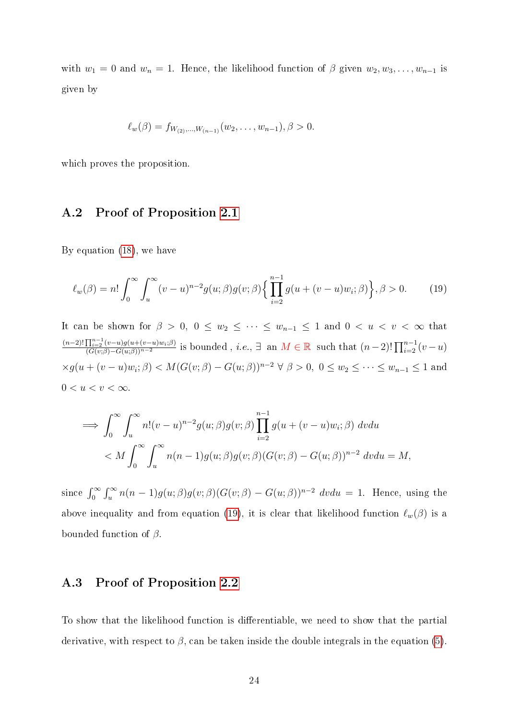with  $w_1 = 0$  and  $w_n = 1$ . Hence, the likelihood function of  $\beta$  given  $w_2, w_3, \ldots, w_{n-1}$  is given by

<span id="page-23-2"></span>
$$
\ell_w(\beta) = f_{W_{(2)},...,W_{(n-1)}}(w_2,...,w_{n-1}), \beta > 0.
$$

<span id="page-23-0"></span>which proves the proposition.

### A.2 Proof of Proposition [2.1](#page-4-3)

By equation [\(18\)](#page-22-1), we have

$$
\ell_w(\beta) = n! \int_0^\infty \int_u^\infty (v - u)^{n-2} g(u;\beta) g(v;\beta) \left\{ \prod_{i=2}^{n-1} g(u + (v - u)w_i;\beta) \right\}, \beta > 0. \tag{19}
$$

It can be shown for  $\beta > 0$ ,  $0 \le w_2 \le \cdots \le w_{n-1} \le 1$  and  $0 < u < v < \infty$  that  $(n-2)!$   $\prod_{i=2}^{n-1} (v-u)g(u+(v-u)w_i;\beta)$  $\frac{\prod_{i=2}^{n-1}(v-u)g(u+(v-u)w_i;\beta)}{(G(v;\beta)-G(u;\beta))^{n-2}}$  is bounded, *i.e.*, ∃ an  $M \in \mathbb{R}$  such that  $(n-2)! \prod_{i=2}^{n-1}(v-u)$  $\times g(u+(v-u)w_i;\beta) < M(G(v;\beta)-G(u;\beta))^{n-2}$   $\forall \beta > 0, 0 \le w_2 \le \cdots \le w_{n-1} \le 1$  and  $0 < u < v < \infty$ .

$$
\implies \int_0^\infty \int_u^\infty n!(v-u)^{n-2}g(u;\beta)g(v;\beta) \prod_{i=2}^{n-1} g(u+(v-u)w_i;\beta) dv du
$$
  

$$
< M \int_0^\infty \int_u^\infty n(n-1)g(u;\beta)g(v;\beta) (G(v;\beta) - G(u;\beta))^{n-2} dv du = M,
$$

since  $\int_0^\infty \int_u^\infty n(n-1)g(u;\beta)g(v;\beta)(G(v;\beta) - G(u;\beta))^{n-2} dvdu = 1$ . Hence, using the above inequality and from equation [\(19\)](#page-23-2), it is clear that likelihood function  $\ell_w(\beta)$  is a bounded function of  $\beta$ .

### <span id="page-23-1"></span>A.3 Proof of Proposition [2.2](#page-5-0)

To show that the likelihood function is differentiable, we need to show that the partial derivative, with respect to  $\beta$ , can be taken inside the double integrals in the equation [\(5\)](#page-4-4).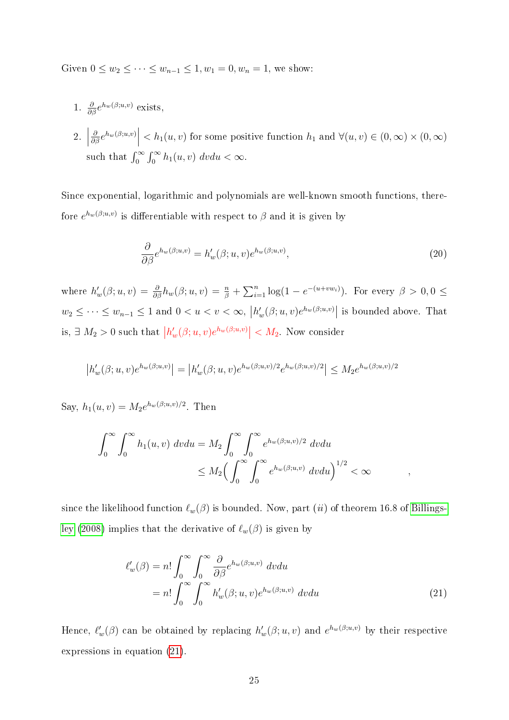Given  $0 \le w_2 \le \cdots \le w_{n-1} \le 1, w_1 = 0, w_n = 1$ , we show:

- 1.  $\frac{\partial}{\partial \beta} e^{h_w(\beta;u,v)}$  exists,
- $2.$  $\frac{\partial}{\partial \beta} e^{h_w(\beta;u,v)}$  $h_1(u, v)$  for some positive function  $h_1$  and  $\forall (u, v) \in (0, \infty) \times (0, \infty)$ such that  $\int_0^\infty \int_0^\infty h_1(u, v) dv du < \infty$ .

Since exponential, logarithmic and polynomials are well-known smooth functions, therefore  $e^{h_w(\beta;u,v)}$  is differentiable with respect to  $\beta$  and it is given by

$$
\frac{\partial}{\partial \beta} e^{h_w(\beta;u,v)} = h'_w(\beta;u,v)e^{h_w(\beta;u,v)},\tag{20}
$$

where  $h'_w(\beta; u, v) = \frac{\partial}{\partial \beta} h_w(\beta; u, v) = \frac{n}{\beta} + \sum_{i=1}^n \log(1 - e^{-(u+vw_i)})$ . For every  $\beta > 0, 0 \leq$  $w_2 \leq \cdots \leq w_{n-1} \leq 1$  and  $0 < u < v < \infty$ ,  $|h'_w(\beta; u, v)e^{h_w(\beta; u, v)}|$  is bounded above. That is,  $\exists M_2 > 0$  such that  $|h'_w(\beta; u, v)e^{h_w(\beta; u, v)}| < M_2$ . Now consider

$$
\left| h_w'(\beta; u, v)e^{h_w(\beta; u, v)} \right| = \left| h_w'(\beta; u, v)e^{h_w(\beta; u, v)/2}e^{h_w(\beta; u, v)/2} \right| \le M_2 e^{h_w(\beta; u, v)/2}
$$

Say,  $h_1(u, v) = M_2 e^{h_w(\beta; u, v)/2}$ . Then

$$
\int_0^\infty \int_0^\infty h_1(u,v) dv du = M_2 \int_0^\infty \int_0^\infty e^{h_w(\beta;u,v)/2} dv du
$$
  

$$
\leq M_2 \Big(\int_0^\infty \int_0^\infty e^{h_w(\beta;u,v)} dv du \Big)^{1/2} < \infty
$$

since the likelihood function  $\ell_w(\beta)$  is bounded. Now, part (ii) of theorem 16.8 of [Billings](#page-19-3)[ley](#page-19-3) [\(2008\)](#page-19-3) implies that the derivative of  $\ell_w(\beta)$  is given by

<span id="page-24-0"></span>
$$
\ell'_{w}(\beta) = n! \int_{0}^{\infty} \int_{0}^{\infty} \frac{\partial}{\partial \beta} e^{h_{w}(\beta;u,v)} dv du
$$
  
=  $n! \int_{0}^{\infty} \int_{0}^{\infty} h'_{w}(\beta;u,v) e^{h_{w}(\beta;u,v)} dv du$  (21)

Hence,  $\ell'_w(\beta)$  can be obtained by replacing  $h'_w(\beta; u, v)$  and  $e^{h_w(\beta; u, v)}$  by their respective expressions in equation [\(21\)](#page-24-0).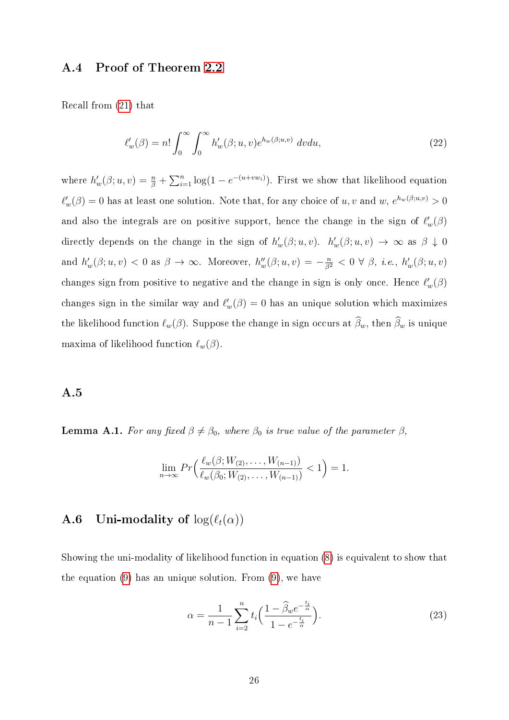### <span id="page-25-0"></span>A.4 Proof of Theorem [2.2](#page-5-1)

Recall from [\(21\)](#page-24-0) that

$$
\ell'_w(\beta) = n! \int_0^\infty \int_0^\infty h'_w(\beta; u, v) e^{h_w(\beta; u, v)} dv du,
$$
\n(22)

where  $h'_w(\beta; u, v) = \frac{n}{\beta} + \sum_{i=1}^n \log(1 - e^{-(u+vw_i)})$ . First we show that likelihood equation  $\ell'_w(\beta) = 0$  has at least one solution. Note that, for any choice of u, v and w,  $e^{h_w(\beta;u,v)} > 0$ and also the integrals are on positive support, hence the change in the sign of  $\ell'_w(\beta)$ directly depends on the change in the sign of  $h'_w(\beta; u, v)$ .  $h'_w(\beta; u, v) \to \infty$  as  $\beta \downarrow 0$ and  $h'_w(\beta; u, v) < 0$  as  $\beta \to \infty$ . Moreover,  $h''_w(\beta; u, v) = -\frac{n}{\beta^2} < 0 \ \forall \ \beta, \ i.e., \ h'_w(\beta; u, v)$ changes sign from positive to negative and the change in sign is only once. Hence  $\ell'_w(\beta)$ changes sign in the similar way and  $\ell'_w(\beta) = 0$  has an unique solution which maximizes the likelihood function  $\ell_w(\beta)$ . Suppose the change in sign occurs at  $\widehat{\beta}_w$ , then  $\widehat{\beta}_w$  is unique maxima of likelihood function  $\ell_w(\beta)$ .

### <span id="page-25-1"></span>A.5

**Lemma A.1.** For any fixed  $\beta \neq \beta_0$ , where  $\beta_0$  is true value of the parameter  $\beta$ ,

$$
\lim_{n \to \infty} Pr\left(\frac{\ell_w(\beta; W_{(2)}, \dots, W_{(n-1)})}{\ell_w(\beta_0; W_{(2)}, \dots, W_{(n-1)})} < 1\right) = 1.
$$

### <span id="page-25-2"></span>**A.6** Uni-modality of  $log(\ell_t(\alpha))$

Showing the uni-modality of likelihood function in equation [\(8\)](#page-7-1) is equivalent to show that the equation [\(9\)](#page-7-0) has an unique solution. From [\(9\)](#page-7-0), we have

$$
\alpha = \frac{1}{n-1} \sum_{i=2}^{n} t_i \left( \frac{1 - \widehat{\beta}_w e^{-\frac{t_i}{\alpha}}}{1 - e^{-\frac{t_i}{\alpha}}} \right).
$$
 (23)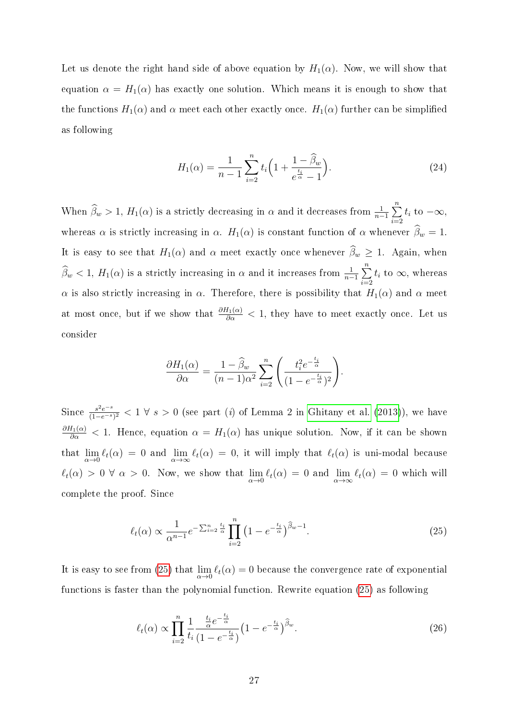Let us denote the right hand side of above equation by  $H_1(\alpha)$ . Now, we will show that equation  $\alpha = H_1(\alpha)$  has exactly one solution. Which means it is enough to show that the functions  $H_1(\alpha)$  and  $\alpha$  meet each other exactly once.  $H_1(\alpha)$  further can be simplified as following

$$
H_1(\alpha) = \frac{1}{n-1} \sum_{i=2}^{n} t_i \left( 1 + \frac{1 - \widehat{\beta}_w}{e^{\frac{t_i}{\alpha}} - 1} \right).
$$
 (24)

When  $\widehat{\beta}_w > 1$ ,  $H_1(\alpha)$  is a strictly decreasing in  $\alpha$  and it decreases from  $\frac{1}{n-1} \sum_{i=0}^{n}$  $i=2$  $t_i$  to  $-\infty$ , whereas  $\alpha$  is strictly increasing in  $\alpha$ .  $H_1(\alpha)$  is constant function of  $\alpha$  whenever  $\widehat{\beta}_w = 1$ . It is easy to see that  $H_1(\alpha)$  and  $\alpha$  meet exactly once whenever  $\widehat{\beta}_w \geq 1$ . Again, when  $\widehat{\beta}_w < 1$ ,  $H_1(\alpha)$  is a strictly increasing in  $\alpha$  and it increases from  $\frac{1}{n-1} \sum_{i=0}^{n}$  $i=2$  $t_i$  to  $\infty$ , whereas α is also strictly increasing in  $\alpha$ . Therefore, there is possibility that  $H_1(α)$  and  $\alpha$  meet at most once, but if we show that  $\frac{\partial H_1(\alpha)}{\partial \alpha} < 1$ , they have to meet exactly once. Let us consider

$$
\frac{\partial H_1(\alpha)}{\partial \alpha} = \frac{1 - \widehat{\beta}_w}{(n-1)\alpha^2} \sum_{i=2}^n \left( \frac{t_i^2 e^{-\frac{t_i}{\alpha}}}{(1 - e^{-\frac{t_i}{\alpha}})^2} \right).
$$

Since  $\frac{s^2e^{-s}}{(1-e^{-s})}$  $\frac{s^2e^{-s}}{(1-e^{-s})^2} < 1 \ \forall \ s > 0$  (see part (i) of Lemma 2 in [Ghitany et al.](#page-20-8) [\(2013\)](#page-20-8)), we have  $\frac{\partial H_1(\alpha)}{\partial \alpha} < 1$ . Hence, equation  $\alpha = H_1(\alpha)$  has unique solution. Now, if it can be shown that  $\lim_{\alpha\to 0}$   $\ell_t(\alpha) = 0$  and  $\lim_{\alpha\to\infty}$   $\ell_t(\alpha) = 0$ , it will imply that  $\ell_t(\alpha)$  is uni-modal because  $\ell_t(\alpha) > 0 \ \forall \alpha > 0$ . Now, we show that  $\lim_{\alpha \to 0} \ell_t(\alpha) = 0$  and  $\lim_{\alpha \to \infty} \ell_t(\alpha) = 0$  which will complete the proof. Since

<span id="page-26-0"></span>
$$
\ell_t(\alpha) \propto \frac{1}{\alpha^{n-1}} e^{-\sum_{i=2}^n \frac{t_i}{\alpha}} \prod_{i=2}^n \left(1 - e^{-\frac{t_i}{\alpha}}\right)^{\widehat{\beta}_w - 1}.
$$
\n(25)

It is easy to see from [\(25\)](#page-26-0) that  $\lim_{\alpha\to 0} \ell_t(\alpha) = 0$  because the convergence rate of exponential functions is faster than the polynomial function. Rewrite equation [\(25\)](#page-26-0) as following

$$
\ell_t(\alpha) \propto \prod_{i=2}^n \frac{1}{t_i} \frac{\frac{t_i}{\alpha} e^{-\frac{t_i}{\alpha}}}{(1 - e^{-\frac{t_i}{\alpha}})} \left(1 - e^{-\frac{t_i}{\alpha}}\right)^{\widehat{\beta}_w}.
$$
\n(26)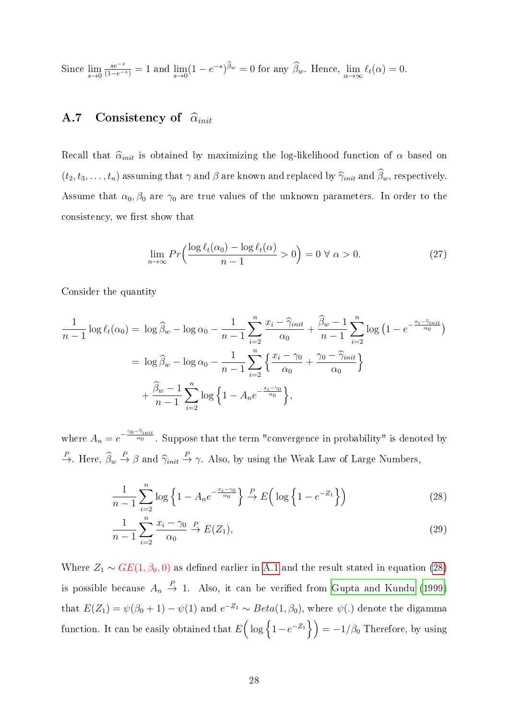Since  $\lim_{s\to 0} \frac{s e^{-s}}{(1-e^{-s})} = 1$  and  $\lim_{s\to 0} (1-e^{-s})^{\widehat{\beta}_w} = 0$  for any  $\widehat{\beta}_w$ . Hence,  $\lim_{\alpha\to\infty} \ell_t(\alpha) = 0$ .

### <span id="page-27-0"></span>A.7 Consistency of  $\widehat{\alpha}_{init}$

Recall that  $\hat{\alpha}_{init}$  is obtained by maximizing the log-likelihood function of  $\alpha$  based on  $(t_2, t_3, \ldots, t_n)$  assuming that  $\gamma$  and  $\beta$  are known and replaced by  $\hat{\gamma}_{init}$  and  $\hat{\beta}_w$ , respectively. Assume that  $\alpha_0, \beta_0$  are  $\gamma_0$  are true values of the unknown parameters. In order to the consistency, we first show that

<span id="page-27-2"></span>
$$
\lim_{n \to \infty} Pr\left(\frac{\log \ell_t(\alpha_0) - \log \ell_t(\alpha)}{n - 1} > 0\right) = 0 \,\forall \,\alpha > 0. \tag{27}
$$

Consider the quantity

$$
\frac{1}{n-1}\log \ell_t(\alpha_0) = \log \widehat{\beta}_w - \log \alpha_0 - \frac{1}{n-1}\sum_{i=2}^n \frac{x_i - \widehat{\gamma}_{init}}{\alpha_0} + \frac{\widehat{\beta}_w - 1}{n-1}\sum_{i=2}^n \log \left(1 - e^{-\frac{x_i - \widehat{\gamma}_{init}}{\alpha_0}}\right)
$$

$$
= \log \widehat{\beta}_w - \log \alpha_0 - \frac{1}{n-1}\sum_{i=2}^n \left\{ \frac{x_i - \gamma_0}{\alpha_0} + \frac{\gamma_0 - \widehat{\gamma}_{init}}{\alpha_0} \right\}
$$

$$
+ \frac{\widehat{\beta}_w - 1}{n-1}\sum_{i=2}^n \log \left\{1 - A_n e^{-\frac{x_i - \gamma_0}{\alpha_0}}\right\},
$$

where  $A_n = e^{-\frac{\gamma_0 - \hat{\gamma}_{init}}{\alpha_0}}$ . Suppose that the term "convergence in probability" is denoted by  $\stackrel{P}{\to}$ . Here,  $\widehat{\beta}_w \stackrel{P}{\to} \beta$  and  $\widehat{\gamma}_{init} \stackrel{P}{\to} \gamma$ . Also, by using the Weak Law of Large Numbers,

<span id="page-27-1"></span>
$$
\frac{1}{n-1}\sum_{i=2}^{n}\log\left\{1-A_ne^{-\frac{x_i-\gamma_0}{\alpha_0}}\right\}\stackrel{P}{\to}E\left(\log\left\{1-e^{-Z_1}\right\}\right)
$$
\n(28)

$$
\frac{1}{n-1} \sum_{i=2}^{n} \frac{x_i - \gamma_0}{\alpha_0} \stackrel{P}{\to} E(Z_1),\tag{29}
$$

Where  $Z_1 \sim GE(1, \beta_0, 0)$  as defined earlier in [A.1](#page-22-0) and the result stated in equation [\(28\)](#page-27-1) is possible because  $A_n \stackrel{P}{\rightarrow} 1$ . Also, it can be verified from [Gupta and Kundu](#page-20-0) [\(1999\)](#page-20-0) that  $E(Z_1) = \psi(\beta_0 + 1) - \psi(1)$  and  $e^{-Z_1} \sim Beta(1, \beta_0)$ , where  $\psi(.)$  denote the digamma function. It can be easily obtained that  $E\Big(\log\Big\{1-e^{-Z_1}\Big\}\Big) = -1/\beta_0$  Therefore, by using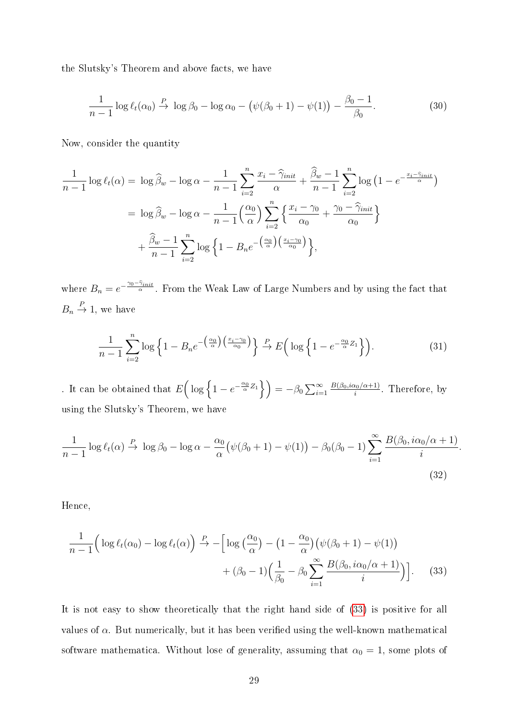the Slutsky's Theorem and above facts, we have

$$
\frac{1}{n-1}\log\ell_t(\alpha_0)\stackrel{P}{\rightarrow}\log\beta_0-\log\alpha_0-\left(\psi(\beta_0+1)-\psi(1)\right)-\frac{\beta_0-1}{\beta_0}.\tag{30}
$$

Now, consider the quantity

$$
\frac{1}{n-1}\log\ell_t(\alpha) = \log\widehat{\beta}_w - \log\alpha - \frac{1}{n-1}\sum_{i=2}^n \frac{x_i - \widehat{\gamma}_{init}}{\alpha} + \frac{\widehat{\beta}_w - 1}{n-1}\sum_{i=2}^n \log\left(1 - e^{-\frac{x_i - \widehat{\gamma}_{init}}{\alpha}}\right)
$$

$$
= \log\widehat{\beta}_w - \log\alpha - \frac{1}{n-1}\left(\frac{\alpha_0}{\alpha}\right)\sum_{i=2}^n \left\{\frac{x_i - \gamma_0}{\alpha_0} + \frac{\gamma_0 - \widehat{\gamma}_{init}}{\alpha_0}\right\}
$$

$$
+ \frac{\widehat{\beta}_w - 1}{n-1}\sum_{i=2}^n \log\left\{1 - B_n e^{-\left(\frac{\alpha_0}{\alpha}\right)\left(\frac{x_i - \gamma_0}{\alpha_0}\right)}\right\},
$$

where  $B_n = e^{-\frac{\gamma_0 - \hat{\gamma}_{init}}{\alpha}}$ . From the Weak Law of Large Numbers and by using the fact that  $B_n \stackrel{P}{\rightarrow} 1$ , we have

$$
\frac{1}{n-1} \sum_{i=2}^{n} \log \left\{ 1 - B_n e^{-\left(\frac{\alpha_0}{\alpha}\right) \left(\frac{x_i - \gamma_0}{\alpha_0}\right)} \right\} \xrightarrow{P} E\left(\log \left\{ 1 - e^{-\frac{\alpha_0}{\alpha} Z_1} \right\}\right).
$$
 (31)

. It can be obtained that  $E\left(\log\left\{1-e^{-\frac{\alpha_0}{\alpha}Z_1}\right\}\right) = -\beta_0\sum_{i=1}^{\infty}$  $B(\beta_0,i\alpha_0/\alpha+1)$  $\frac{x_0/\alpha+1}{i}$ . Therefore, by using the Slutsky's Theorem, we have

$$
\frac{1}{n-1}\log\ell_t(\alpha) \stackrel{P}{\to} \log\beta_0 - \log\alpha - \frac{\alpha_0}{\alpha} \big(\psi(\beta_0 + 1) - \psi(1)\big) - \beta_0(\beta_0 - 1) \sum_{i=1}^{\infty} \frac{B(\beta_0, i\alpha_0/\alpha + 1)}{i}
$$
\n(32)

<span id="page-28-0"></span>.

Hence,

$$
\frac{1}{n-1} \left( \log \ell_t(\alpha_0) - \log \ell_t(\alpha) \right) \xrightarrow{P} - \left[ \log \left( \frac{\alpha_0}{\alpha} \right) - \left( 1 - \frac{\alpha_0}{\alpha} \right) \left( \psi(\beta_0 + 1) - \psi(1) \right) \right. \\
\left. + (\beta_0 - 1) \left( \frac{1}{\beta_0} - \beta_0 \sum_{i=1}^{\infty} \frac{B(\beta_0, i\alpha_0/\alpha + 1)}{i} \right) \right].
$$
\n(33)

It is not easy to show theoretically that the right hand side of [\(33\)](#page-28-0) is positive for all values of  $\alpha$ . But numerically, but it has been verified using the well-known mathematical software mathematica. Without lose of generality, assuming that  $\alpha_0 = 1$ , some plots of